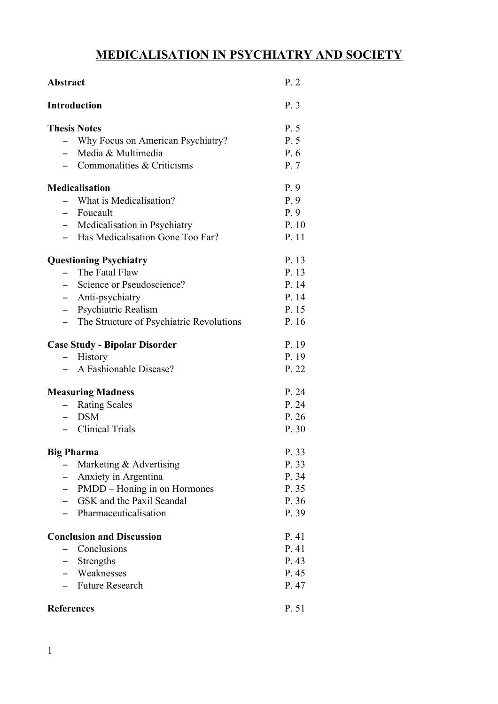# **MEDICALISATION IN PSYCHIATRY AND SOCIETY**

| <b>Abstract</b>                                          | P.2   |
|----------------------------------------------------------|-------|
| <b>Introduction</b>                                      | P.3   |
| <b>Thesis Notes</b>                                      | P. 5  |
| Why Focus on American Psychiatry?                        | P. 5  |
| Media & Multimedia<br>$-$                                | P. 6  |
| - Commonalities $&$ Criticisms                           | P. 7  |
| <b>Medicalisation</b>                                    | P.9   |
| What is Medicalisation?                                  | P.9   |
| - Foucault                                               | P.9   |
| - Medicalisation in Psychiatry                           | P. 10 |
| - Has Medicalisation Gone Too Far?                       | P. 11 |
| <b>Questioning Psychiatry</b>                            | P. 13 |
| The Fatal Flaw                                           | P. 13 |
| - Science or Pseudoscience?                              | P. 14 |
| - Anti-psychiatry                                        | P. 14 |
| Psychiatric Realism<br>$-$                               | P. 15 |
| The Structure of Psychiatric Revolutions<br>$-$          | P. 16 |
| <b>Case Study - Bipolar Disorder</b>                     | P. 19 |
| History                                                  | P. 19 |
| A Fashionable Disease?                                   | P. 22 |
| <b>Measuring Madness</b>                                 | P. 24 |
| <b>Rating Scales</b>                                     | P. 24 |
| <b>DSM</b><br>$\overline{\phantom{0}}$                   | P.26  |
| - Clinical Trials                                        | P. 30 |
| <b>Big Pharma</b>                                        | P. 33 |
| Marketing & Advertising                                  | P. 33 |
| Anxiety in Argentina                                     | P. 34 |
| PMDD – Honing in on Hormones<br>$\overline{\phantom{0}}$ | P. 35 |
| - GSK and the Paxil Scandal                              | P. 36 |
| Pharmaceuticalisation<br>$-$                             | P. 39 |
| <b>Conclusion and Discussion</b>                         | P. 41 |
| Conclusions                                              | P. 41 |
| - Strengths                                              | P. 43 |
| - Weaknesses                                             | P. 45 |
| <b>Future Research</b>                                   | P. 47 |
| <b>References</b>                                        | P. 51 |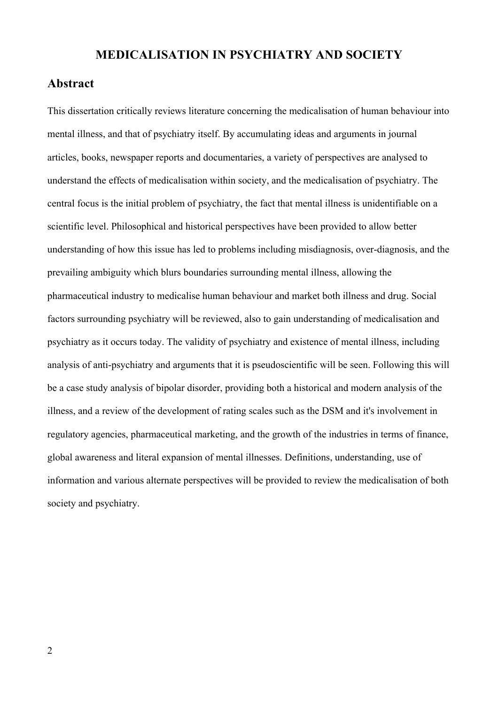### **MEDICALISATION IN PSYCHIATRY AND SOCIETY**

#### **Abstract**

This dissertation critically reviews literature concerning the medicalisation of human behaviour into mental illness, and that of psychiatry itself. By accumulating ideas and arguments in journal articles, books, newspaper reports and documentaries, a variety of perspectives are analysed to understand the effects of medicalisation within society, and the medicalisation of psychiatry. The central focus is the initial problem of psychiatry, the fact that mental illness is unidentifiable on a scientific level. Philosophical and historical perspectives have been provided to allow better understanding of how this issue has led to problems including misdiagnosis, over-diagnosis, and the prevailing ambiguity which blurs boundaries surrounding mental illness, allowing the pharmaceutical industry to medicalise human behaviour and market both illness and drug. Social factors surrounding psychiatry will be reviewed, also to gain understanding of medicalisation and psychiatry as it occurs today. The validity of psychiatry and existence of mental illness, including analysis of anti-psychiatry and arguments that it is pseudoscientific will be seen. Following this will be a case study analysis of bipolar disorder, providing both a historical and modern analysis of the illness, and a review of the development of rating scales such as the DSM and it's involvement in regulatory agencies, pharmaceutical marketing, and the growth of the industries in terms of finance, global awareness and literal expansion of mental illnesses. Definitions, understanding, use of information and various alternate perspectives will be provided to review the medicalisation of both society and psychiatry.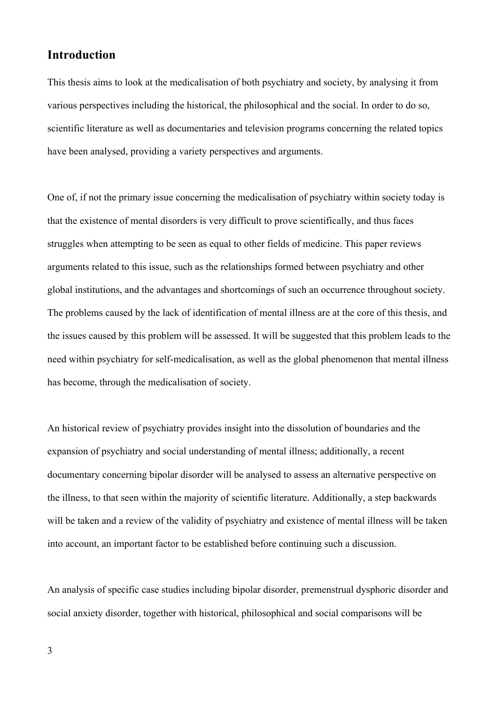### **Introduction**

This thesis aims to look at the medicalisation of both psychiatry and society, by analysing it from various perspectives including the historical, the philosophical and the social. In order to do so, scientific literature as well as documentaries and television programs concerning the related topics have been analysed, providing a variety perspectives and arguments.

One of, if not the primary issue concerning the medicalisation of psychiatry within society today is that the existence of mental disorders is very difficult to prove scientifically, and thus faces struggles when attempting to be seen as equal to other fields of medicine. This paper reviews arguments related to this issue, such as the relationships formed between psychiatry and other global institutions, and the advantages and shortcomings of such an occurrence throughout society. The problems caused by the lack of identification of mental illness are at the core of this thesis, and the issues caused by this problem will be assessed. It will be suggested that this problem leads to the need within psychiatry for self-medicalisation, as well as the global phenomenon that mental illness has become, through the medicalisation of society.

An historical review of psychiatry provides insight into the dissolution of boundaries and the expansion of psychiatry and social understanding of mental illness; additionally, a recent documentary concerning bipolar disorder will be analysed to assess an alternative perspective on the illness, to that seen within the majority of scientific literature. Additionally, a step backwards will be taken and a review of the validity of psychiatry and existence of mental illness will be taken into account, an important factor to be established before continuing such a discussion.

An analysis of specific case studies including bipolar disorder, premenstrual dysphoric disorder and social anxiety disorder, together with historical, philosophical and social comparisons will be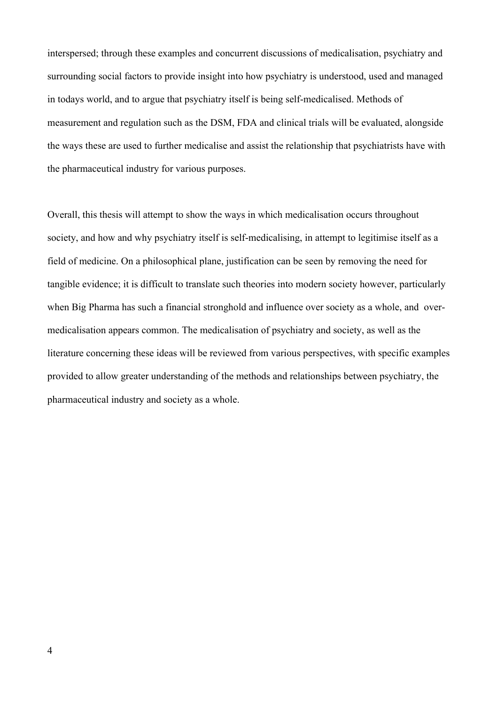interspersed; through these examples and concurrent discussions of medicalisation, psychiatry and surrounding social factors to provide insight into how psychiatry is understood, used and managed in todays world, and to argue that psychiatry itself is being self-medicalised. Methods of measurement and regulation such as the DSM, FDA and clinical trials will be evaluated, alongside the ways these are used to further medicalise and assist the relationship that psychiatrists have with the pharmaceutical industry for various purposes.

Overall, this thesis will attempt to show the ways in which medicalisation occurs throughout society, and how and why psychiatry itself is self-medicalising, in attempt to legitimise itself as a field of medicine. On a philosophical plane, justification can be seen by removing the need for tangible evidence; it is difficult to translate such theories into modern society however, particularly when Big Pharma has such a financial stronghold and influence over society as a whole, and overmedicalisation appears common. The medicalisation of psychiatry and society, as well as the literature concerning these ideas will be reviewed from various perspectives, with specific examples provided to allow greater understanding of the methods and relationships between psychiatry, the pharmaceutical industry and society as a whole.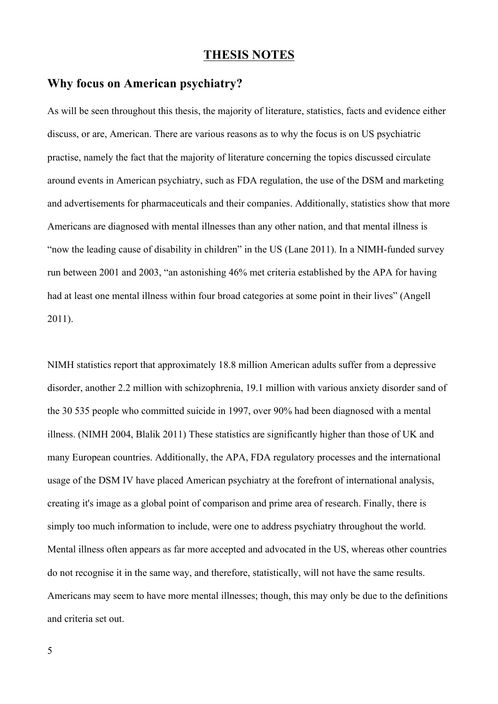### **THESIS NOTES**

# **Why focus on American psychiatry?**

As will be seen throughout this thesis, the majority of literature, statistics, facts and evidence either discuss, or are, American. There are various reasons as to why the focus is on US psychiatric practise, namely the fact that the majority of literature concerning the topics discussed circulate around events in American psychiatry, such as FDA regulation, the use of the DSM and marketing and advertisements for pharmaceuticals and their companies. Additionally, statistics show that more Americans are diagnosed with mental illnesses than any other nation, and that mental illness is "now the leading cause of disability in children" in the US (Lane 2011). In a NIMH-funded survey run between 2001 and 2003, "an astonishing 46% met criteria established by the APA for having had at least one mental illness within four broad categories at some point in their lives" (Angell 2011).

NIMH statistics report that approximately 18.8 million American adults suffer from a depressive disorder, another 2.2 million with schizophrenia, 19.1 million with various anxiety disorder sand of the 30 535 people who committed suicide in 1997, over 90% had been diagnosed with a mental illness. (NIMH 2004, Blalik 2011) These statistics are significantly higher than those of UK and many European countries. Additionally, the APA, FDA regulatory processes and the international usage of the DSM IV have placed American psychiatry at the forefront of international analysis, creating it's image as a global point of comparison and prime area of research. Finally, there is simply too much information to include, were one to address psychiatry throughout the world. Mental illness often appears as far more accepted and advocated in the US, whereas other countries do not recognise it in the same way, and therefore, statistically, will not have the same results. Americans may seem to have more mental illnesses; though, this may only be due to the definitions and criteria set out.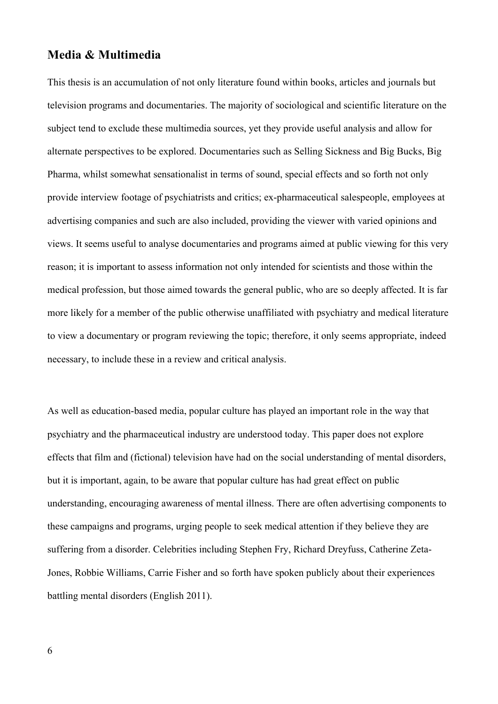#### **Media & Multimedia**

This thesis is an accumulation of not only literature found within books, articles and journals but television programs and documentaries. The majority of sociological and scientific literature on the subject tend to exclude these multimedia sources, yet they provide useful analysis and allow for alternate perspectives to be explored. Documentaries such as Selling Sickness and Big Bucks, Big Pharma, whilst somewhat sensationalist in terms of sound, special effects and so forth not only provide interview footage of psychiatrists and critics; ex-pharmaceutical salespeople, employees at advertising companies and such are also included, providing the viewer with varied opinions and views. It seems useful to analyse documentaries and programs aimed at public viewing for this very reason; it is important to assess information not only intended for scientists and those within the medical profession, but those aimed towards the general public, who are so deeply affected. It is far more likely for a member of the public otherwise unaffiliated with psychiatry and medical literature to view a documentary or program reviewing the topic; therefore, it only seems appropriate, indeed necessary, to include these in a review and critical analysis.

As well as education-based media, popular culture has played an important role in the way that psychiatry and the pharmaceutical industry are understood today. This paper does not explore effects that film and (fictional) television have had on the social understanding of mental disorders, but it is important, again, to be aware that popular culture has had great effect on public understanding, encouraging awareness of mental illness. There are often advertising components to these campaigns and programs, urging people to seek medical attention if they believe they are suffering from a disorder. Celebrities including Stephen Fry, Richard Dreyfuss, Catherine Zeta-Jones, Robbie Williams, Carrie Fisher and so forth have spoken publicly about their experiences battling mental disorders (English 2011).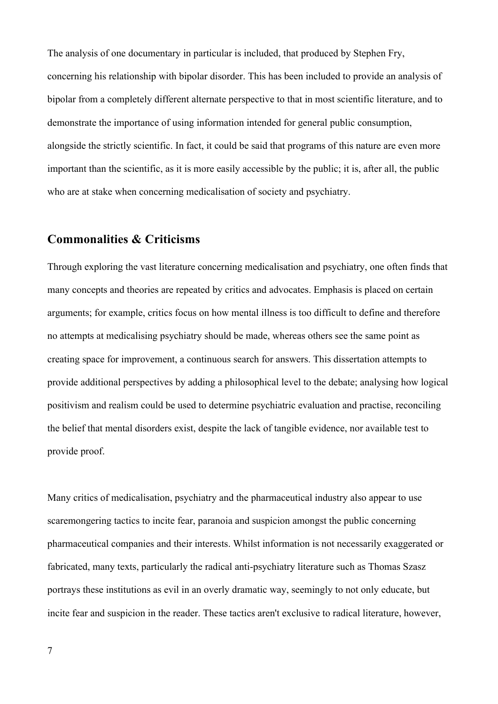The analysis of one documentary in particular is included, that produced by Stephen Fry, concerning his relationship with bipolar disorder. This has been included to provide an analysis of bipolar from a completely different alternate perspective to that in most scientific literature, and to demonstrate the importance of using information intended for general public consumption, alongside the strictly scientific. In fact, it could be said that programs of this nature are even more important than the scientific, as it is more easily accessible by the public; it is, after all, the public who are at stake when concerning medicalisation of society and psychiatry.

# **Commonalities & Criticisms**

Through exploring the vast literature concerning medicalisation and psychiatry, one often finds that many concepts and theories are repeated by critics and advocates. Emphasis is placed on certain arguments; for example, critics focus on how mental illness is too difficult to define and therefore no attempts at medicalising psychiatry should be made, whereas others see the same point as creating space for improvement, a continuous search for answers. This dissertation attempts to provide additional perspectives by adding a philosophical level to the debate; analysing how logical positivism and realism could be used to determine psychiatric evaluation and practise, reconciling the belief that mental disorders exist, despite the lack of tangible evidence, nor available test to provide proof.

Many critics of medicalisation, psychiatry and the pharmaceutical industry also appear to use scaremongering tactics to incite fear, paranoia and suspicion amongst the public concerning pharmaceutical companies and their interests. Whilst information is not necessarily exaggerated or fabricated, many texts, particularly the radical anti-psychiatry literature such as Thomas Szasz portrays these institutions as evil in an overly dramatic way, seemingly to not only educate, but incite fear and suspicion in the reader. These tactics aren't exclusive to radical literature, however,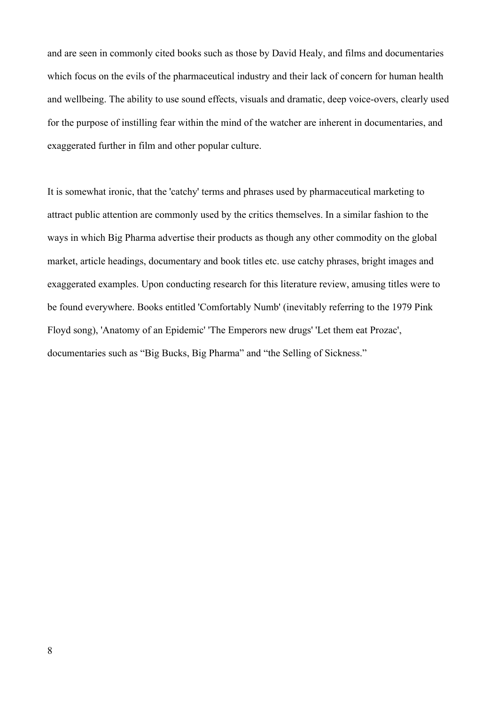and are seen in commonly cited books such as those by David Healy, and films and documentaries which focus on the evils of the pharmaceutical industry and their lack of concern for human health and wellbeing. The ability to use sound effects, visuals and dramatic, deep voice-overs, clearly used for the purpose of instilling fear within the mind of the watcher are inherent in documentaries, and exaggerated further in film and other popular culture.

It is somewhat ironic, that the 'catchy' terms and phrases used by pharmaceutical marketing to attract public attention are commonly used by the critics themselves. In a similar fashion to the ways in which Big Pharma advertise their products as though any other commodity on the global market, article headings, documentary and book titles etc. use catchy phrases, bright images and exaggerated examples. Upon conducting research for this literature review, amusing titles were to be found everywhere. Books entitled 'Comfortably Numb' (inevitably referring to the 1979 Pink Floyd song), 'Anatomy of an Epidemic' 'The Emperors new drugs' 'Let them eat Prozac', documentaries such as "Big Bucks, Big Pharma" and "the Selling of Sickness."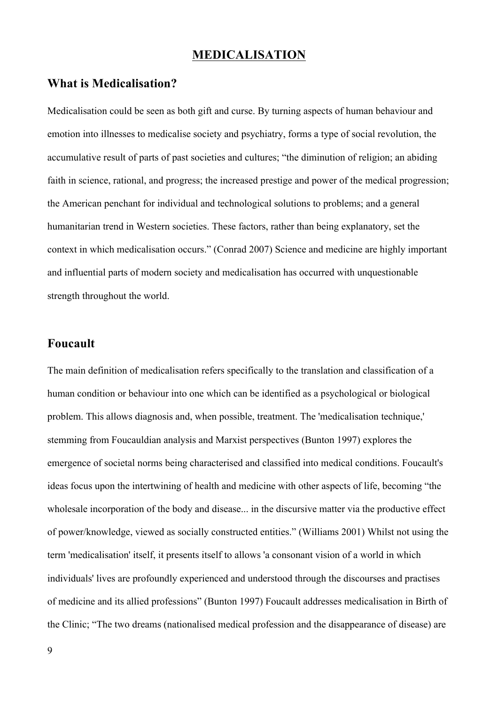### **MEDICALISATION**

### **What is Medicalisation?**

Medicalisation could be seen as both gift and curse. By turning aspects of human behaviour and emotion into illnesses to medicalise society and psychiatry, forms a type of social revolution, the accumulative result of parts of past societies and cultures; "the diminution of religion; an abiding faith in science, rational, and progress; the increased prestige and power of the medical progression; the American penchant for individual and technological solutions to problems; and a general humanitarian trend in Western societies. These factors, rather than being explanatory, set the context in which medicalisation occurs." (Conrad 2007) Science and medicine are highly important and influential parts of modern society and medicalisation has occurred with unquestionable strength throughout the world.

# **Foucault**

The main definition of medicalisation refers specifically to the translation and classification of a human condition or behaviour into one which can be identified as a psychological or biological problem. This allows diagnosis and, when possible, treatment. The 'medicalisation technique,' stemming from Foucauldian analysis and Marxist perspectives (Bunton 1997) explores the emergence of societal norms being characterised and classified into medical conditions. Foucault's ideas focus upon the intertwining of health and medicine with other aspects of life, becoming "the wholesale incorporation of the body and disease... in the discursive matter via the productive effect of power/knowledge, viewed as socially constructed entities." (Williams 2001) Whilst not using the term 'medicalisation' itself, it presents itself to allows 'a consonant vision of a world in which individuals' lives are profoundly experienced and understood through the discourses and practises of medicine and its allied professions" (Bunton 1997) Foucault addresses medicalisation in Birth of the Clinic; "The two dreams (nationalised medical profession and the disappearance of disease) are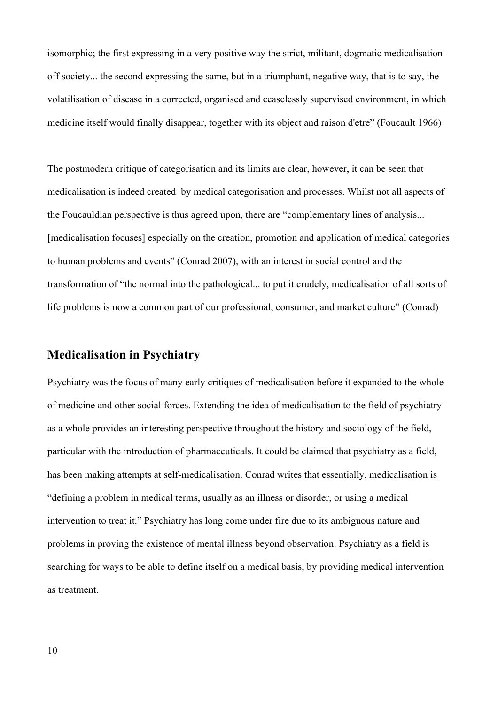isomorphic; the first expressing in a very positive way the strict, militant, dogmatic medicalisation off society... the second expressing the same, but in a triumphant, negative way, that is to say, the volatilisation of disease in a corrected, organised and ceaselessly supervised environment, in which medicine itself would finally disappear, together with its object and raison d'etre" (Foucault 1966)

The postmodern critique of categorisation and its limits are clear, however, it can be seen that medicalisation is indeed created by medical categorisation and processes. Whilst not all aspects of the Foucauldian perspective is thus agreed upon, there are "complementary lines of analysis... [medicalisation focuses] especially on the creation, promotion and application of medical categories to human problems and events" (Conrad 2007), with an interest in social control and the transformation of "the normal into the pathological... to put it crudely, medicalisation of all sorts of life problems is now a common part of our professional, consumer, and market culture" (Conrad)

# **Medicalisation in Psychiatry**

Psychiatry was the focus of many early critiques of medicalisation before it expanded to the whole of medicine and other social forces. Extending the idea of medicalisation to the field of psychiatry as a whole provides an interesting perspective throughout the history and sociology of the field, particular with the introduction of pharmaceuticals. It could be claimed that psychiatry as a field, has been making attempts at self-medicalisation. Conrad writes that essentially, medicalisation is "defining a problem in medical terms, usually as an illness or disorder, or using a medical intervention to treat it." Psychiatry has long come under fire due to its ambiguous nature and problems in proving the existence of mental illness beyond observation. Psychiatry as a field is searching for ways to be able to define itself on a medical basis, by providing medical intervention as treatment.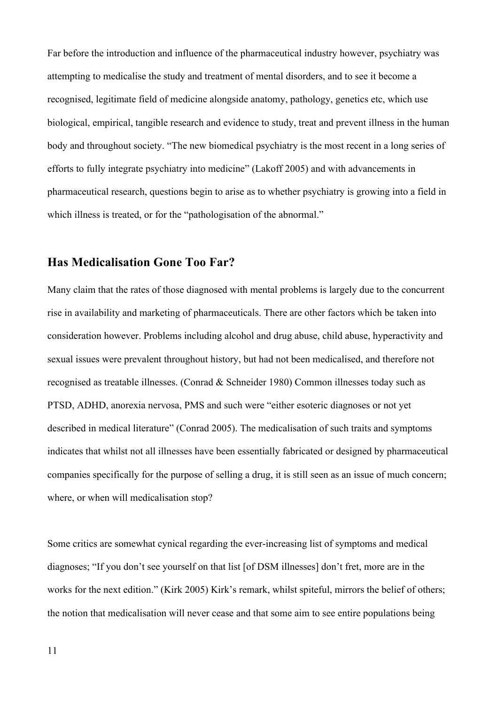Far before the introduction and influence of the pharmaceutical industry however, psychiatry was attempting to medicalise the study and treatment of mental disorders, and to see it become a recognised, legitimate field of medicine alongside anatomy, pathology, genetics etc, which use biological, empirical, tangible research and evidence to study, treat and prevent illness in the human body and throughout society. "The new biomedical psychiatry is the most recent in a long series of efforts to fully integrate psychiatry into medicine" (Lakoff 2005) and with advancements in pharmaceutical research, questions begin to arise as to whether psychiatry is growing into a field in which illness is treated, or for the "pathologisation of the abnormal."

### **Has Medicalisation Gone Too Far?**

Many claim that the rates of those diagnosed with mental problems is largely due to the concurrent rise in availability and marketing of pharmaceuticals. There are other factors which be taken into consideration however. Problems including alcohol and drug abuse, child abuse, hyperactivity and sexual issues were prevalent throughout history, but had not been medicalised, and therefore not recognised as treatable illnesses. (Conrad & Schneider 1980) Common illnesses today such as PTSD, ADHD, anorexia nervosa, PMS and such were "either esoteric diagnoses or not yet described in medical literature" (Conrad 2005). The medicalisation of such traits and symptoms indicates that whilst not all illnesses have been essentially fabricated or designed by pharmaceutical companies specifically for the purpose of selling a drug, it is still seen as an issue of much concern; where, or when will medicalisation stop?

Some critics are somewhat cynical regarding the ever-increasing list of symptoms and medical diagnoses; "If you don't see yourself on that list [of DSM illnesses] don't fret, more are in the works for the next edition." (Kirk 2005) Kirk's remark, whilst spiteful, mirrors the belief of others; the notion that medicalisation will never cease and that some aim to see entire populations being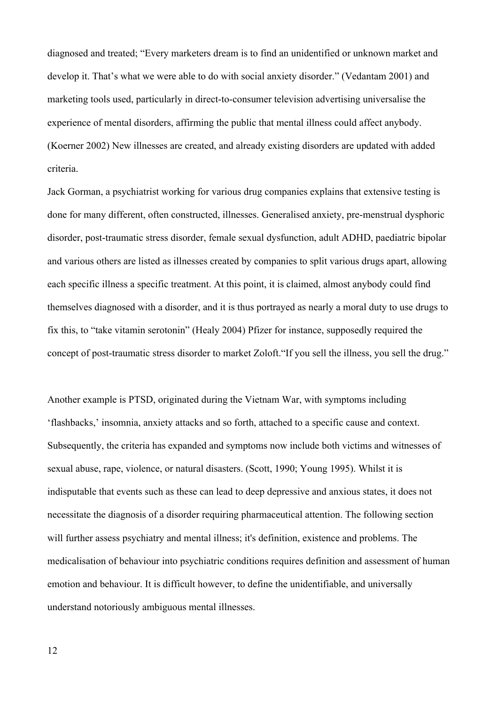diagnosed and treated; "Every marketers dream is to find an unidentified or unknown market and develop it. That's what we were able to do with social anxiety disorder." (Vedantam 2001) and marketing tools used, particularly in direct-to-consumer television advertising universalise the experience of mental disorders, affirming the public that mental illness could affect anybody. (Koerner 2002) New illnesses are created, and already existing disorders are updated with added criteria.

Jack Gorman, a psychiatrist working for various drug companies explains that extensive testing is done for many different, often constructed, illnesses. Generalised anxiety, pre-menstrual dysphoric disorder, post-traumatic stress disorder, female sexual dysfunction, adult ADHD, paediatric bipolar and various others are listed as illnesses created by companies to split various drugs apart, allowing each specific illness a specific treatment. At this point, it is claimed, almost anybody could find themselves diagnosed with a disorder, and it is thus portrayed as nearly a moral duty to use drugs to fix this, to "take vitamin serotonin" (Healy 2004) Pfizer for instance, supposedly required the concept of post-traumatic stress disorder to market Zoloft."If you sell the illness, you sell the drug."

Another example is PTSD, originated during the Vietnam War, with symptoms including 'flashbacks,' insomnia, anxiety attacks and so forth, attached to a specific cause and context. Subsequently, the criteria has expanded and symptoms now include both victims and witnesses of sexual abuse, rape, violence, or natural disasters. (Scott, 1990; Young 1995). Whilst it is indisputable that events such as these can lead to deep depressive and anxious states, it does not necessitate the diagnosis of a disorder requiring pharmaceutical attention. The following section will further assess psychiatry and mental illness; it's definition, existence and problems. The medicalisation of behaviour into psychiatric conditions requires definition and assessment of human emotion and behaviour. It is difficult however, to define the unidentifiable, and universally understand notoriously ambiguous mental illnesses.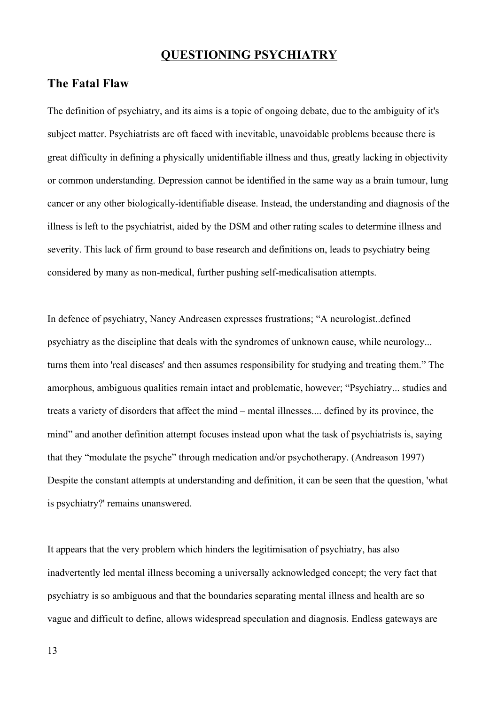### **QUESTIONING PSYCHIATRY**

# **The Fatal Flaw**

The definition of psychiatry, and its aims is a topic of ongoing debate, due to the ambiguity of it's subject matter. Psychiatrists are oft faced with inevitable, unavoidable problems because there is great difficulty in defining a physically unidentifiable illness and thus, greatly lacking in objectivity or common understanding. Depression cannot be identified in the same way as a brain tumour, lung cancer or any other biologically-identifiable disease. Instead, the understanding and diagnosis of the illness is left to the psychiatrist, aided by the DSM and other rating scales to determine illness and severity. This lack of firm ground to base research and definitions on, leads to psychiatry being considered by many as non-medical, further pushing self-medicalisation attempts.

In defence of psychiatry, Nancy Andreasen expresses frustrations; "A neurologist..defined psychiatry as the discipline that deals with the syndromes of unknown cause, while neurology... turns them into 'real diseases' and then assumes responsibility for studying and treating them." The amorphous, ambiguous qualities remain intact and problematic, however; "Psychiatry... studies and treats a variety of disorders that affect the mind – mental illnesses.... defined by its province, the mind" and another definition attempt focuses instead upon what the task of psychiatrists is, saying that they "modulate the psyche" through medication and/or psychotherapy. (Andreason 1997) Despite the constant attempts at understanding and definition, it can be seen that the question, 'what is psychiatry?' remains unanswered.

It appears that the very problem which hinders the legitimisation of psychiatry, has also inadvertently led mental illness becoming a universally acknowledged concept; the very fact that psychiatry is so ambiguous and that the boundaries separating mental illness and health are so vague and difficult to define, allows widespread speculation and diagnosis. Endless gateways are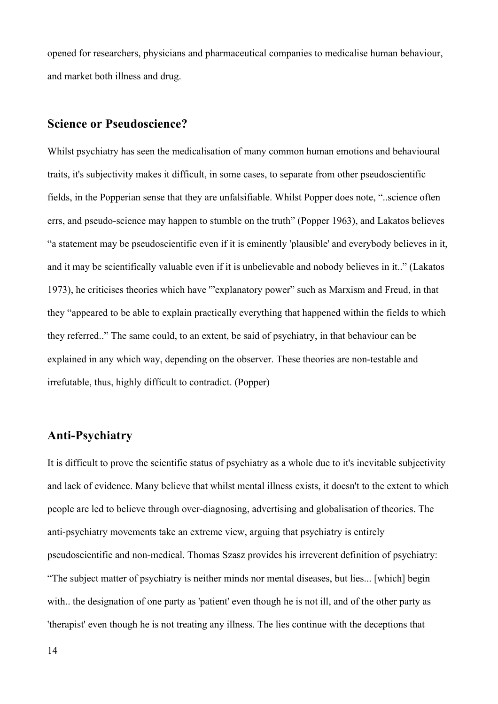opened for researchers, physicians and pharmaceutical companies to medicalise human behaviour, and market both illness and drug.

# **Science or Pseudoscience?**

Whilst psychiatry has seen the medicalisation of many common human emotions and behavioural traits, it's subjectivity makes it difficult, in some cases, to separate from other pseudoscientific fields, in the Popperian sense that they are unfalsifiable. Whilst Popper does note, "..science often errs, and pseudo-science may happen to stumble on the truth" (Popper 1963), and Lakatos believes "a statement may be pseudoscientific even if it is eminently 'plausible' and everybody believes in it, and it may be scientifically valuable even if it is unbelievable and nobody believes in it.." (Lakatos 1973), he criticises theories which have '"explanatory power" such as Marxism and Freud, in that they "appeared to be able to explain practically everything that happened within the fields to which they referred.." The same could, to an extent, be said of psychiatry, in that behaviour can be explained in any which way, depending on the observer. These theories are non-testable and irrefutable, thus, highly difficult to contradict. (Popper)

# **Anti-Psychiatry**

It is difficult to prove the scientific status of psychiatry as a whole due to it's inevitable subjectivity and lack of evidence. Many believe that whilst mental illness exists, it doesn't to the extent to which people are led to believe through over-diagnosing, advertising and globalisation of theories. The anti-psychiatry movements take an extreme view, arguing that psychiatry is entirely pseudoscientific and non-medical. Thomas Szasz provides his irreverent definition of psychiatry: "The subject matter of psychiatry is neither minds nor mental diseases, but lies... [which] begin with.. the designation of one party as 'patient' even though he is not ill, and of the other party as 'therapist' even though he is not treating any illness. The lies continue with the deceptions that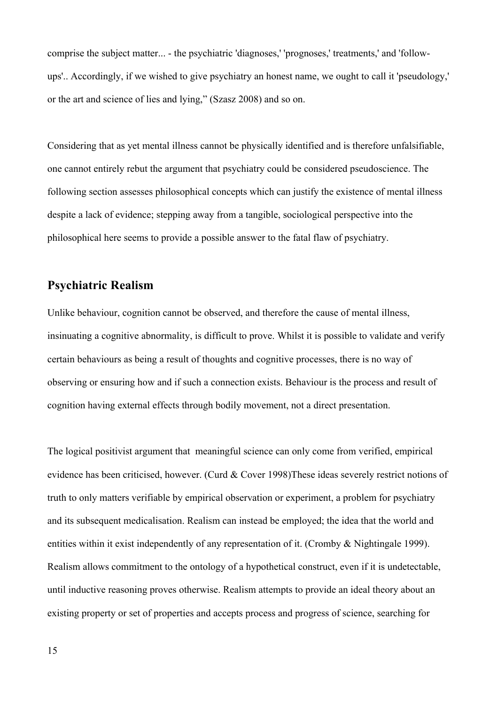comprise the subject matter... - the psychiatric 'diagnoses,' 'prognoses,' treatments,' and 'followups'.. Accordingly, if we wished to give psychiatry an honest name, we ought to call it 'pseudology,' or the art and science of lies and lying," (Szasz 2008) and so on.

Considering that as yet mental illness cannot be physically identified and is therefore unfalsifiable, one cannot entirely rebut the argument that psychiatry could be considered pseudoscience. The following section assesses philosophical concepts which can justify the existence of mental illness despite a lack of evidence; stepping away from a tangible, sociological perspective into the philosophical here seems to provide a possible answer to the fatal flaw of psychiatry.

# **Psychiatric Realism**

Unlike behaviour, cognition cannot be observed, and therefore the cause of mental illness, insinuating a cognitive abnormality, is difficult to prove. Whilst it is possible to validate and verify certain behaviours as being a result of thoughts and cognitive processes, there is no way of observing or ensuring how and if such a connection exists. Behaviour is the process and result of cognition having external effects through bodily movement, not a direct presentation.

The logical positivist argument that meaningful science can only come from verified, empirical evidence has been criticised, however. (Curd & Cover 1998)These ideas severely restrict notions of truth to only matters verifiable by empirical observation or experiment, a problem for psychiatry and its subsequent medicalisation. Realism can instead be employed; the idea that the world and entities within it exist independently of any representation of it. (Cromby & Nightingale 1999). Realism allows commitment to the ontology of a hypothetical construct, even if it is undetectable, until inductive reasoning proves otherwise. Realism attempts to provide an ideal theory about an existing property or set of properties and accepts process and progress of science, searching for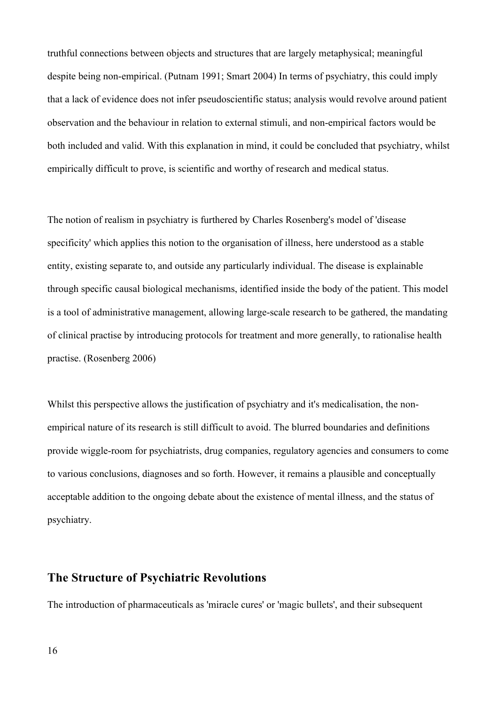truthful connections between objects and structures that are largely metaphysical; meaningful despite being non-empirical. (Putnam 1991; Smart 2004) In terms of psychiatry, this could imply that a lack of evidence does not infer pseudoscientific status; analysis would revolve around patient observation and the behaviour in relation to external stimuli, and non-empirical factors would be both included and valid. With this explanation in mind, it could be concluded that psychiatry, whilst empirically difficult to prove, is scientific and worthy of research and medical status.

The notion of realism in psychiatry is furthered by Charles Rosenberg's model of 'disease specificity' which applies this notion to the organisation of illness, here understood as a stable entity, existing separate to, and outside any particularly individual. The disease is explainable through specific causal biological mechanisms, identified inside the body of the patient. This model is a tool of administrative management, allowing large-scale research to be gathered, the mandating of clinical practise by introducing protocols for treatment and more generally, to rationalise health practise. (Rosenberg 2006)

Whilst this perspective allows the justification of psychiatry and it's medicalisation, the nonempirical nature of its research is still difficult to avoid. The blurred boundaries and definitions provide wiggle-room for psychiatrists, drug companies, regulatory agencies and consumers to come to various conclusions, diagnoses and so forth. However, it remains a plausible and conceptually acceptable addition to the ongoing debate about the existence of mental illness, and the status of psychiatry.

# **The Structure of Psychiatric Revolutions**

The introduction of pharmaceuticals as 'miracle cures' or 'magic bullets', and their subsequent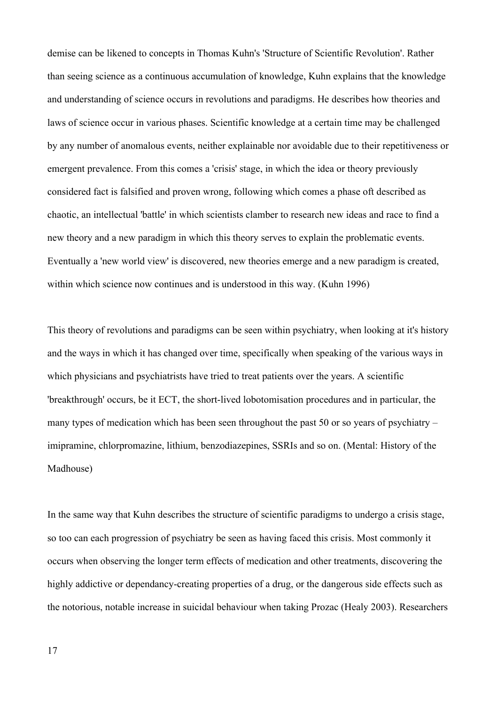demise can be likened to concepts in Thomas Kuhn's 'Structure of Scientific Revolution'. Rather than seeing science as a continuous accumulation of knowledge, Kuhn explains that the knowledge and understanding of science occurs in revolutions and paradigms. He describes how theories and laws of science occur in various phases. Scientific knowledge at a certain time may be challenged by any number of anomalous events, neither explainable nor avoidable due to their repetitiveness or emergent prevalence. From this comes a 'crisis' stage, in which the idea or theory previously considered fact is falsified and proven wrong, following which comes a phase oft described as chaotic, an intellectual 'battle' in which scientists clamber to research new ideas and race to find a new theory and a new paradigm in which this theory serves to explain the problematic events. Eventually a 'new world view' is discovered, new theories emerge and a new paradigm is created, within which science now continues and is understood in this way. (Kuhn 1996)

This theory of revolutions and paradigms can be seen within psychiatry, when looking at it's history and the ways in which it has changed over time, specifically when speaking of the various ways in which physicians and psychiatrists have tried to treat patients over the years. A scientific 'breakthrough' occurs, be it ECT, the short-lived lobotomisation procedures and in particular, the many types of medication which has been seen throughout the past 50 or so years of psychiatry – imipramine, chlorpromazine, lithium, benzodiazepines, SSRIs and so on. (Mental: History of the Madhouse)

In the same way that Kuhn describes the structure of scientific paradigms to undergo a crisis stage, so too can each progression of psychiatry be seen as having faced this crisis. Most commonly it occurs when observing the longer term effects of medication and other treatments, discovering the highly addictive or dependancy-creating properties of a drug, or the dangerous side effects such as the notorious, notable increase in suicidal behaviour when taking Prozac (Healy 2003). Researchers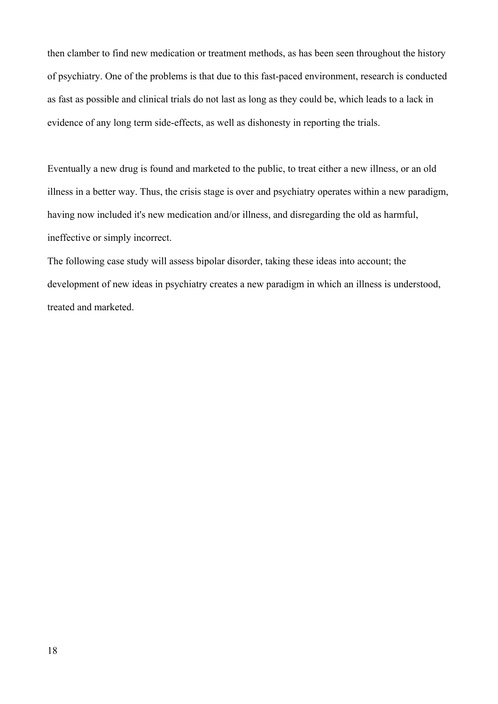then clamber to find new medication or treatment methods, as has been seen throughout the history of psychiatry. One of the problems is that due to this fast-paced environment, research is conducted as fast as possible and clinical trials do not last as long as they could be, which leads to a lack in evidence of any long term side-effects, as well as dishonesty in reporting the trials.

Eventually a new drug is found and marketed to the public, to treat either a new illness, or an old illness in a better way. Thus, the crisis stage is over and psychiatry operates within a new paradigm, having now included it's new medication and/or illness, and disregarding the old as harmful, ineffective or simply incorrect.

The following case study will assess bipolar disorder, taking these ideas into account; the development of new ideas in psychiatry creates a new paradigm in which an illness is understood, treated and marketed.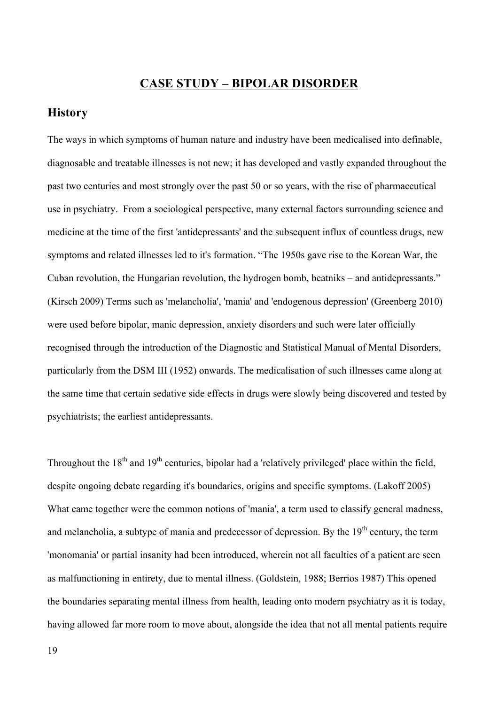# **CASE STUDY – BIPOLAR DISORDER**

#### **History**

The ways in which symptoms of human nature and industry have been medicalised into definable, diagnosable and treatable illnesses is not new; it has developed and vastly expanded throughout the past two centuries and most strongly over the past 50 or so years, with the rise of pharmaceutical use in psychiatry. From a sociological perspective, many external factors surrounding science and medicine at the time of the first 'antidepressants' and the subsequent influx of countless drugs, new symptoms and related illnesses led to it's formation. "The 1950s gave rise to the Korean War, the Cuban revolution, the Hungarian revolution, the hydrogen bomb, beatniks – and antidepressants." (Kirsch 2009) Terms such as 'melancholia', 'mania' and 'endogenous depression' (Greenberg 2010) were used before bipolar, manic depression, anxiety disorders and such were later officially recognised through the introduction of the Diagnostic and Statistical Manual of Mental Disorders, particularly from the DSM III (1952) onwards. The medicalisation of such illnesses came along at the same time that certain sedative side effects in drugs were slowly being discovered and tested by psychiatrists; the earliest antidepressants.

Throughout the  $18<sup>th</sup>$  and  $19<sup>th</sup>$  centuries, bipolar had a 'relatively privileged' place within the field, despite ongoing debate regarding it's boundaries, origins and specific symptoms. (Lakoff 2005) What came together were the common notions of 'mania', a term used to classify general madness, and melancholia, a subtype of mania and predecessor of depression. By the  $19<sup>th</sup>$  century, the term 'monomania' or partial insanity had been introduced, wherein not all faculties of a patient are seen as malfunctioning in entirety, due to mental illness. (Goldstein, 1988; Berrios 1987) This opened the boundaries separating mental illness from health, leading onto modern psychiatry as it is today, having allowed far more room to move about, alongside the idea that not all mental patients require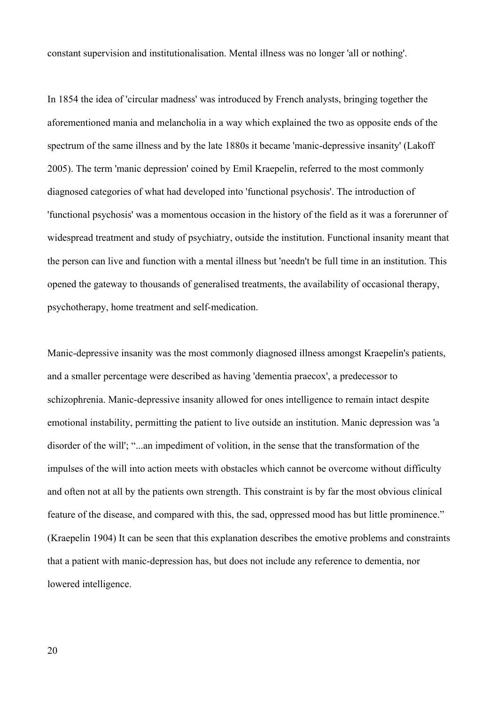constant supervision and institutionalisation. Mental illness was no longer 'all or nothing'.

In 1854 the idea of 'circular madness' was introduced by French analysts, bringing together the aforementioned mania and melancholia in a way which explained the two as opposite ends of the spectrum of the same illness and by the late 1880s it became 'manic-depressive insanity' (Lakoff 2005). The term 'manic depression' coined by Emil Kraepelin, referred to the most commonly diagnosed categories of what had developed into 'functional psychosis'. The introduction of 'functional psychosis' was a momentous occasion in the history of the field as it was a forerunner of widespread treatment and study of psychiatry, outside the institution. Functional insanity meant that the person can live and function with a mental illness but 'needn't be full time in an institution. This opened the gateway to thousands of generalised treatments, the availability of occasional therapy, psychotherapy, home treatment and self-medication.

Manic-depressive insanity was the most commonly diagnosed illness amongst Kraepelin's patients, and a smaller percentage were described as having 'dementia praecox', a predecessor to schizophrenia. Manic-depressive insanity allowed for ones intelligence to remain intact despite emotional instability, permitting the patient to live outside an institution. Manic depression was 'a disorder of the will'; "...an impediment of volition, in the sense that the transformation of the impulses of the will into action meets with obstacles which cannot be overcome without difficulty and often not at all by the patients own strength. This constraint is by far the most obvious clinical feature of the disease, and compared with this, the sad, oppressed mood has but little prominence." (Kraepelin 1904) It can be seen that this explanation describes the emotive problems and constraints that a patient with manic-depression has, but does not include any reference to dementia, nor lowered intelligence.

20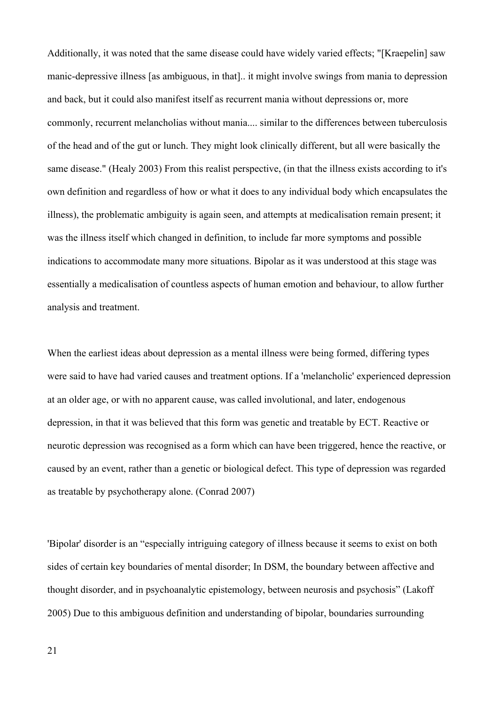Additionally, it was noted that the same disease could have widely varied effects; "[Kraepelin] saw manic-depressive illness [as ambiguous, in that].. it might involve swings from mania to depression and back, but it could also manifest itself as recurrent mania without depressions or, more commonly, recurrent melancholias without mania.... similar to the differences between tuberculosis of the head and of the gut or lunch. They might look clinically different, but all were basically the same disease." (Healy 2003) From this realist perspective, (in that the illness exists according to it's own definition and regardless of how or what it does to any individual body which encapsulates the illness), the problematic ambiguity is again seen, and attempts at medicalisation remain present; it was the illness itself which changed in definition, to include far more symptoms and possible indications to accommodate many more situations. Bipolar as it was understood at this stage was essentially a medicalisation of countless aspects of human emotion and behaviour, to allow further analysis and treatment.

When the earliest ideas about depression as a mental illness were being formed, differing types were said to have had varied causes and treatment options. If a 'melancholic' experienced depression at an older age, or with no apparent cause, was called involutional, and later, endogenous depression, in that it was believed that this form was genetic and treatable by ECT. Reactive or neurotic depression was recognised as a form which can have been triggered, hence the reactive, or caused by an event, rather than a genetic or biological defect. This type of depression was regarded as treatable by psychotherapy alone. (Conrad 2007)

'Bipolar' disorder is an "especially intriguing category of illness because it seems to exist on both sides of certain key boundaries of mental disorder; In DSM, the boundary between affective and thought disorder, and in psychoanalytic epistemology, between neurosis and psychosis" (Lakoff 2005) Due to this ambiguous definition and understanding of bipolar, boundaries surrounding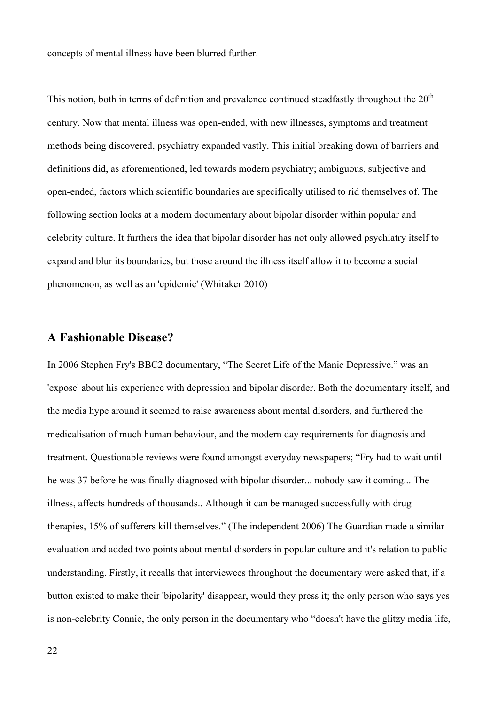concepts of mental illness have been blurred further.

This notion, both in terms of definition and prevalence continued steadfastly throughout the  $20<sup>th</sup>$ century. Now that mental illness was open-ended, with new illnesses, symptoms and treatment methods being discovered, psychiatry expanded vastly. This initial breaking down of barriers and definitions did, as aforementioned, led towards modern psychiatry; ambiguous, subjective and open-ended, factors which scientific boundaries are specifically utilised to rid themselves of. The following section looks at a modern documentary about bipolar disorder within popular and celebrity culture. It furthers the idea that bipolar disorder has not only allowed psychiatry itself to expand and blur its boundaries, but those around the illness itself allow it to become a social phenomenon, as well as an 'epidemic' (Whitaker 2010)

### **A Fashionable Disease?**

In 2006 Stephen Fry's BBC2 documentary, "The Secret Life of the Manic Depressive." was an 'expose' about his experience with depression and bipolar disorder. Both the documentary itself, and the media hype around it seemed to raise awareness about mental disorders, and furthered the medicalisation of much human behaviour, and the modern day requirements for diagnosis and treatment. Questionable reviews were found amongst everyday newspapers; "Fry had to wait until he was 37 before he was finally diagnosed with bipolar disorder... nobody saw it coming... The illness, affects hundreds of thousands.. Although it can be managed successfully with drug therapies, 15% of sufferers kill themselves." (The independent 2006) The Guardian made a similar evaluation and added two points about mental disorders in popular culture and it's relation to public understanding. Firstly, it recalls that interviewees throughout the documentary were asked that, if a button existed to make their 'bipolarity' disappear, would they press it; the only person who says yes is non-celebrity Connie, the only person in the documentary who "doesn't have the glitzy media life,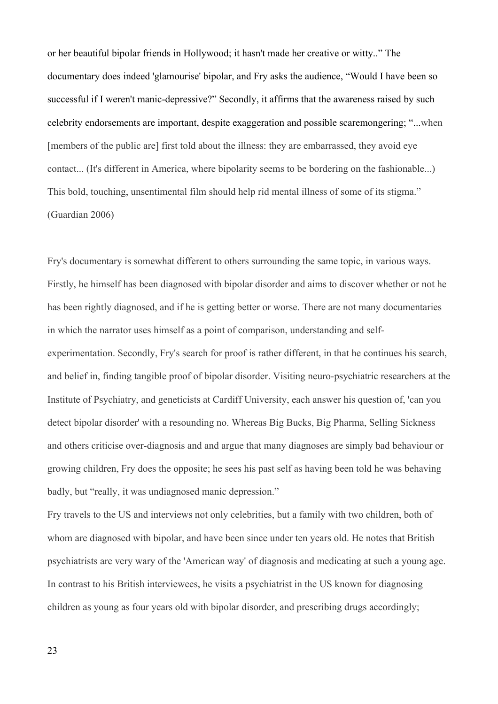or her beautiful bipolar friends in Hollywood; it hasn't made her creative or witty.." The documentary does indeed 'glamourise' bipolar, and Fry asks the audience, "Would I have been so successful if I weren't manic-depressive?" Secondly, it affirms that the awareness raised by such celebrity endorsements are important, despite exaggeration and possible scaremongering; "...when [members of the public are] first told about the illness: they are embarrassed, they avoid eye contact... (It's different in America, where bipolarity seems to be bordering on the fashionable...) This bold, touching, unsentimental film should help rid mental illness of some of its stigma." (Guardian 2006)

Fry's documentary is somewhat different to others surrounding the same topic, in various ways. Firstly, he himself has been diagnosed with bipolar disorder and aims to discover whether or not he has been rightly diagnosed, and if he is getting better or worse. There are not many documentaries in which the narrator uses himself as a point of comparison, understanding and selfexperimentation. Secondly, Fry's search for proof is rather different, in that he continues his search, and belief in, finding tangible proof of bipolar disorder. Visiting neuro-psychiatric researchers at the Institute of Psychiatry, and geneticists at Cardiff University, each answer his question of, 'can you detect bipolar disorder' with a resounding no. Whereas Big Bucks, Big Pharma, Selling Sickness and others criticise over-diagnosis and and argue that many diagnoses are simply bad behaviour or growing children, Fry does the opposite; he sees his past self as having been told he was behaving badly, but "really, it was undiagnosed manic depression."

Fry travels to the US and interviews not only celebrities, but a family with two children, both of whom are diagnosed with bipolar, and have been since under ten years old. He notes that British psychiatrists are very wary of the 'American way' of diagnosis and medicating at such a young age. In contrast to his British interviewees, he visits a psychiatrist in the US known for diagnosing children as young as four years old with bipolar disorder, and prescribing drugs accordingly;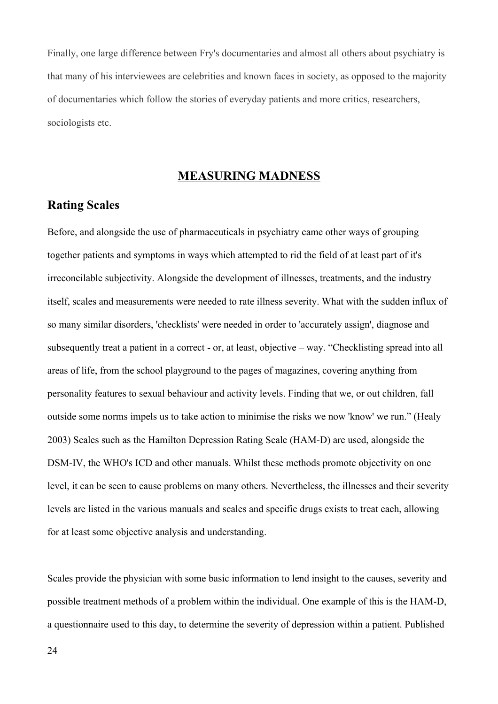Finally, one large difference between Fry's documentaries and almost all others about psychiatry is that many of his interviewees are celebrities and known faces in society, as opposed to the majority of documentaries which follow the stories of everyday patients and more critics, researchers, sociologists etc.

# **MEASURING MADNESS**

### **Rating Scales**

Before, and alongside the use of pharmaceuticals in psychiatry came other ways of grouping together patients and symptoms in ways which attempted to rid the field of at least part of it's irreconcilable subjectivity. Alongside the development of illnesses, treatments, and the industry itself, scales and measurements were needed to rate illness severity. What with the sudden influx of so many similar disorders, 'checklists' were needed in order to 'accurately assign', diagnose and subsequently treat a patient in a correct - or, at least, objective – way. "Checklisting spread into all areas of life, from the school playground to the pages of magazines, covering anything from personality features to sexual behaviour and activity levels. Finding that we, or out children, fall outside some norms impels us to take action to minimise the risks we now 'know' we run." (Healy 2003) Scales such as the Hamilton Depression Rating Scale (HAM-D) are used, alongside the DSM-IV, the WHO's ICD and other manuals. Whilst these methods promote objectivity on one level, it can be seen to cause problems on many others. Nevertheless, the illnesses and their severity levels are listed in the various manuals and scales and specific drugs exists to treat each, allowing for at least some objective analysis and understanding.

Scales provide the physician with some basic information to lend insight to the causes, severity and possible treatment methods of a problem within the individual. One example of this is the HAM-D, a questionnaire used to this day, to determine the severity of depression within a patient. Published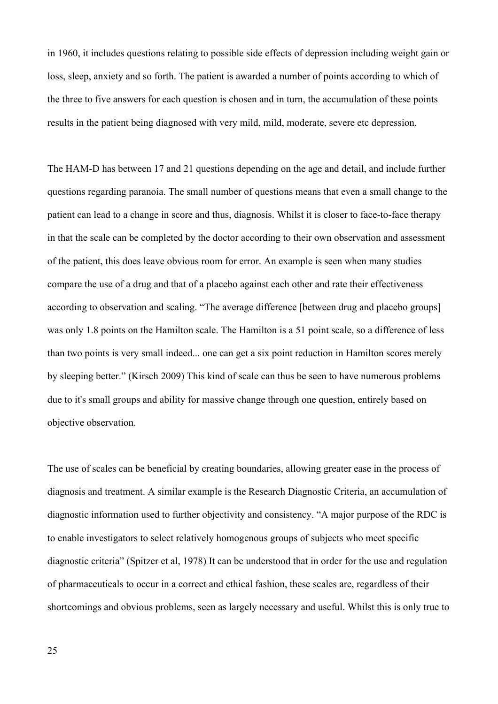in 1960, it includes questions relating to possible side effects of depression including weight gain or loss, sleep, anxiety and so forth. The patient is awarded a number of points according to which of the three to five answers for each question is chosen and in turn, the accumulation of these points results in the patient being diagnosed with very mild, mild, moderate, severe etc depression.

The HAM-D has between 17 and 21 questions depending on the age and detail, and include further questions regarding paranoia. The small number of questions means that even a small change to the patient can lead to a change in score and thus, diagnosis. Whilst it is closer to face-to-face therapy in that the scale can be completed by the doctor according to their own observation and assessment of the patient, this does leave obvious room for error. An example is seen when many studies compare the use of a drug and that of a placebo against each other and rate their effectiveness according to observation and scaling. "The average difference [between drug and placebo groups] was only 1.8 points on the Hamilton scale. The Hamilton is a 51 point scale, so a difference of less than two points is very small indeed... one can get a six point reduction in Hamilton scores merely by sleeping better." (Kirsch 2009) This kind of scale can thus be seen to have numerous problems due to it's small groups and ability for massive change through one question, entirely based on objective observation.

The use of scales can be beneficial by creating boundaries, allowing greater ease in the process of diagnosis and treatment. A similar example is the Research Diagnostic Criteria, an accumulation of diagnostic information used to further objectivity and consistency. "A major purpose of the RDC is to enable investigators to select relatively homogenous groups of subjects who meet specific diagnostic criteria" (Spitzer et al, 1978) It can be understood that in order for the use and regulation of pharmaceuticals to occur in a correct and ethical fashion, these scales are, regardless of their shortcomings and obvious problems, seen as largely necessary and useful. Whilst this is only true to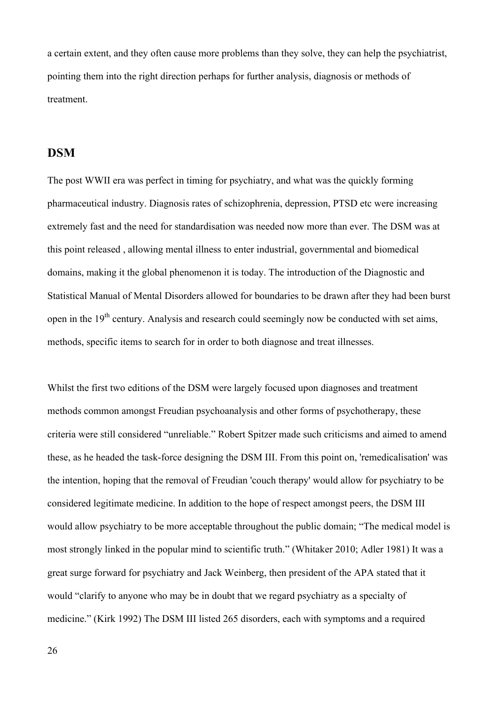a certain extent, and they often cause more problems than they solve, they can help the psychiatrist, pointing them into the right direction perhaps for further analysis, diagnosis or methods of treatment.

# **DSM**

The post WWII era was perfect in timing for psychiatry, and what was the quickly forming pharmaceutical industry. Diagnosis rates of schizophrenia, depression, PTSD etc were increasing extremely fast and the need for standardisation was needed now more than ever. The DSM was at this point released , allowing mental illness to enter industrial, governmental and biomedical domains, making it the global phenomenon it is today. The introduction of the Diagnostic and Statistical Manual of Mental Disorders allowed for boundaries to be drawn after they had been burst open in the  $19<sup>th</sup>$  century. Analysis and research could seemingly now be conducted with set aims, methods, specific items to search for in order to both diagnose and treat illnesses.

Whilst the first two editions of the DSM were largely focused upon diagnoses and treatment methods common amongst Freudian psychoanalysis and other forms of psychotherapy, these criteria were still considered "unreliable." Robert Spitzer made such criticisms and aimed to amend these, as he headed the task-force designing the DSM III. From this point on, 'remedicalisation' was the intention, hoping that the removal of Freudian 'couch therapy' would allow for psychiatry to be considered legitimate medicine. In addition to the hope of respect amongst peers, the DSM III would allow psychiatry to be more acceptable throughout the public domain; "The medical model is most strongly linked in the popular mind to scientific truth." (Whitaker 2010; Adler 1981) It was a great surge forward for psychiatry and Jack Weinberg, then president of the APA stated that it would "clarify to anyone who may be in doubt that we regard psychiatry as a specialty of medicine." (Kirk 1992) The DSM III listed 265 disorders, each with symptoms and a required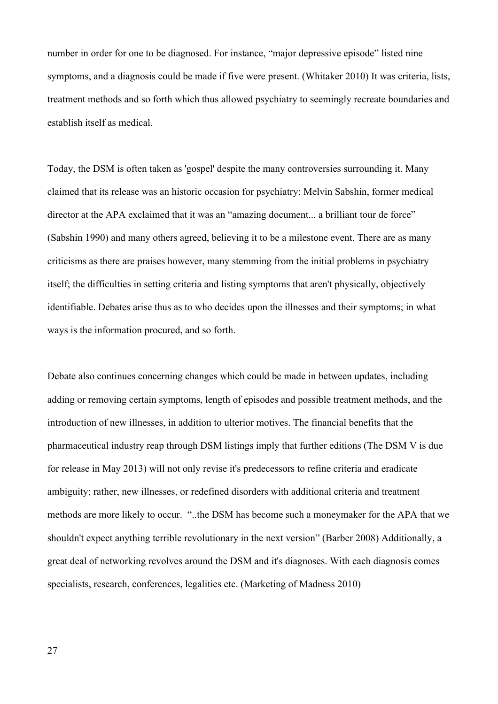number in order for one to be diagnosed. For instance, "major depressive episode" listed nine symptoms, and a diagnosis could be made if five were present. (Whitaker 2010) It was criteria, lists, treatment methods and so forth which thus allowed psychiatry to seemingly recreate boundaries and establish itself as medical.

Today, the DSM is often taken as 'gospel' despite the many controversies surrounding it. Many claimed that its release was an historic occasion for psychiatry; Melvin Sabshin, former medical director at the APA exclaimed that it was an "amazing document... a brilliant tour de force" (Sabshin 1990) and many others agreed, believing it to be a milestone event. There are as many criticisms as there are praises however, many stemming from the initial problems in psychiatry itself; the difficulties in setting criteria and listing symptoms that aren't physically, objectively identifiable. Debates arise thus as to who decides upon the illnesses and their symptoms; in what ways is the information procured, and so forth.

Debate also continues concerning changes which could be made in between updates, including adding or removing certain symptoms, length of episodes and possible treatment methods, and the introduction of new illnesses, in addition to ulterior motives. The financial benefits that the pharmaceutical industry reap through DSM listings imply that further editions (The DSM V is due for release in May 2013) will not only revise it's predecessors to refine criteria and eradicate ambiguity; rather, new illnesses, or redefined disorders with additional criteria and treatment methods are more likely to occur. "..the DSM has become such a moneymaker for the APA that we shouldn't expect anything terrible revolutionary in the next version" (Barber 2008) Additionally, a great deal of networking revolves around the DSM and it's diagnoses. With each diagnosis comes specialists, research, conferences, legalities etc. (Marketing of Madness 2010)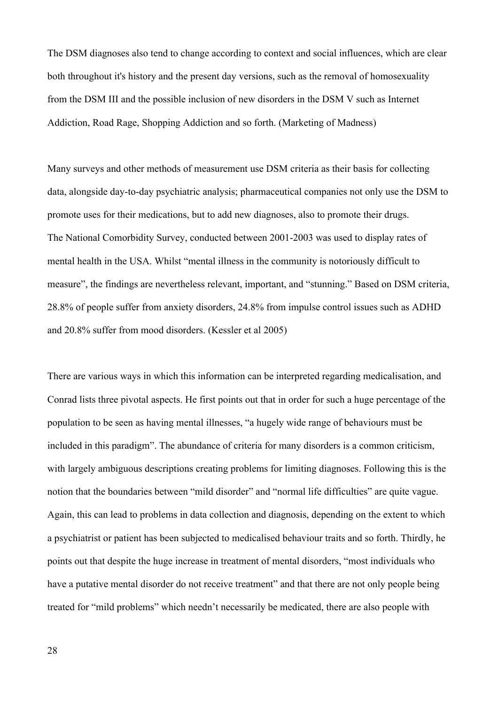The DSM diagnoses also tend to change according to context and social influences, which are clear both throughout it's history and the present day versions, such as the removal of homosexuality from the DSM III and the possible inclusion of new disorders in the DSM V such as Internet Addiction, Road Rage, Shopping Addiction and so forth. (Marketing of Madness)

Many surveys and other methods of measurement use DSM criteria as their basis for collecting data, alongside day-to-day psychiatric analysis; pharmaceutical companies not only use the DSM to promote uses for their medications, but to add new diagnoses, also to promote their drugs. The National Comorbidity Survey, conducted between 2001-2003 was used to display rates of mental health in the USA. Whilst "mental illness in the community is notoriously difficult to measure", the findings are nevertheless relevant, important, and "stunning." Based on DSM criteria, 28.8% of people suffer from anxiety disorders, 24.8% from impulse control issues such as ADHD and 20.8% suffer from mood disorders. (Kessler et al 2005)

There are various ways in which this information can be interpreted regarding medicalisation, and Conrad lists three pivotal aspects. He first points out that in order for such a huge percentage of the population to be seen as having mental illnesses, "a hugely wide range of behaviours must be included in this paradigm". The abundance of criteria for many disorders is a common criticism, with largely ambiguous descriptions creating problems for limiting diagnoses. Following this is the notion that the boundaries between "mild disorder" and "normal life difficulties" are quite vague. Again, this can lead to problems in data collection and diagnosis, depending on the extent to which a psychiatrist or patient has been subjected to medicalised behaviour traits and so forth. Thirdly, he points out that despite the huge increase in treatment of mental disorders, "most individuals who have a putative mental disorder do not receive treatment" and that there are not only people being treated for "mild problems" which needn't necessarily be medicated, there are also people with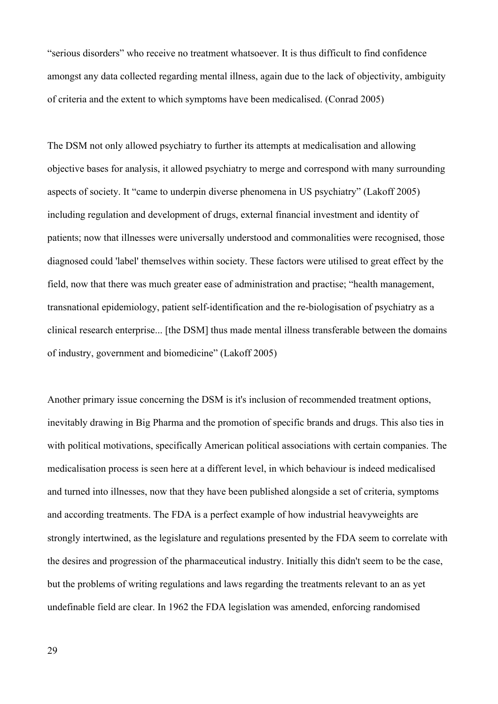"serious disorders" who receive no treatment whatsoever. It is thus difficult to find confidence amongst any data collected regarding mental illness, again due to the lack of objectivity, ambiguity of criteria and the extent to which symptoms have been medicalised. (Conrad 2005)

The DSM not only allowed psychiatry to further its attempts at medicalisation and allowing objective bases for analysis, it allowed psychiatry to merge and correspond with many surrounding aspects of society. It "came to underpin diverse phenomena in US psychiatry" (Lakoff 2005) including regulation and development of drugs, external financial investment and identity of patients; now that illnesses were universally understood and commonalities were recognised, those diagnosed could 'label' themselves within society. These factors were utilised to great effect by the field, now that there was much greater ease of administration and practise; "health management, transnational epidemiology, patient self-identification and the re-biologisation of psychiatry as a clinical research enterprise... [the DSM] thus made mental illness transferable between the domains of industry, government and biomedicine" (Lakoff 2005)

Another primary issue concerning the DSM is it's inclusion of recommended treatment options, inevitably drawing in Big Pharma and the promotion of specific brands and drugs. This also ties in with political motivations, specifically American political associations with certain companies. The medicalisation process is seen here at a different level, in which behaviour is indeed medicalised and turned into illnesses, now that they have been published alongside a set of criteria, symptoms and according treatments. The FDA is a perfect example of how industrial heavyweights are strongly intertwined, as the legislature and regulations presented by the FDA seem to correlate with the desires and progression of the pharmaceutical industry. Initially this didn't seem to be the case, but the problems of writing regulations and laws regarding the treatments relevant to an as yet undefinable field are clear. In 1962 the FDA legislation was amended, enforcing randomised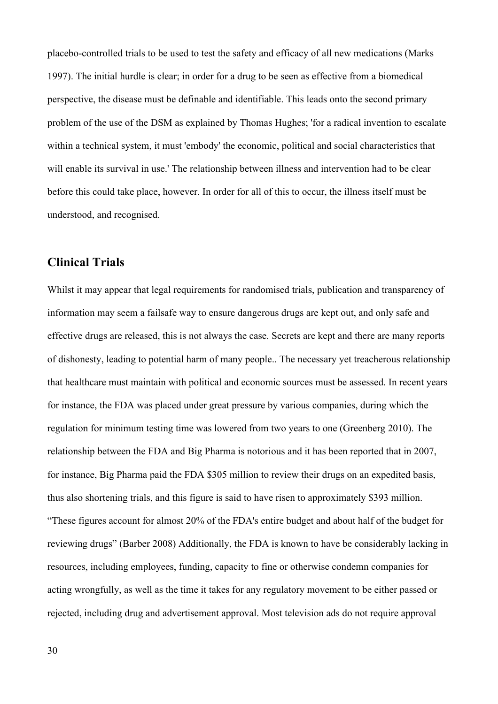placebo-controlled trials to be used to test the safety and efficacy of all new medications (Marks 1997). The initial hurdle is clear; in order for a drug to be seen as effective from a biomedical perspective, the disease must be definable and identifiable. This leads onto the second primary problem of the use of the DSM as explained by Thomas Hughes; 'for a radical invention to escalate within a technical system, it must 'embody' the economic, political and social characteristics that will enable its survival in use.' The relationship between illness and intervention had to be clear before this could take place, however. In order for all of this to occur, the illness itself must be understood, and recognised.

# **Clinical Trials**

Whilst it may appear that legal requirements for randomised trials, publication and transparency of information may seem a failsafe way to ensure dangerous drugs are kept out, and only safe and effective drugs are released, this is not always the case. Secrets are kept and there are many reports of dishonesty, leading to potential harm of many people.. The necessary yet treacherous relationship that healthcare must maintain with political and economic sources must be assessed. In recent years for instance, the FDA was placed under great pressure by various companies, during which the regulation for minimum testing time was lowered from two years to one (Greenberg 2010). The relationship between the FDA and Big Pharma is notorious and it has been reported that in 2007, for instance, Big Pharma paid the FDA \$305 million to review their drugs on an expedited basis, thus also shortening trials, and this figure is said to have risen to approximately \$393 million. "These figures account for almost 20% of the FDA's entire budget and about half of the budget for reviewing drugs" (Barber 2008) Additionally, the FDA is known to have be considerably lacking in resources, including employees, funding, capacity to fine or otherwise condemn companies for acting wrongfully, as well as the time it takes for any regulatory movement to be either passed or rejected, including drug and advertisement approval. Most television ads do not require approval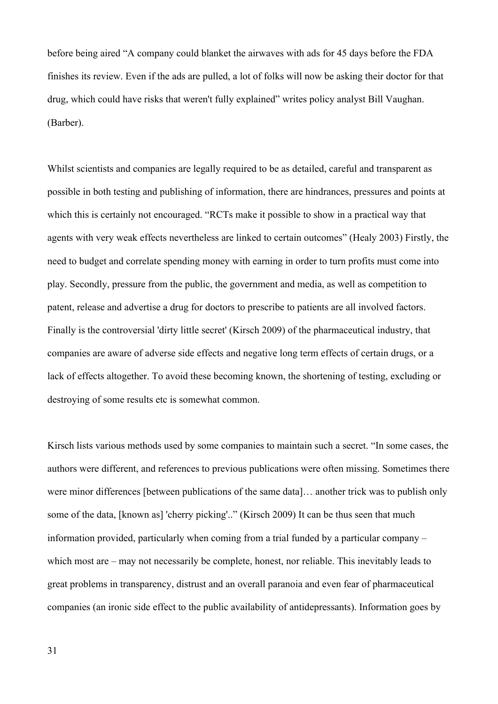before being aired "A company could blanket the airwaves with ads for 45 days before the FDA finishes its review. Even if the ads are pulled, a lot of folks will now be asking their doctor for that drug, which could have risks that weren't fully explained" writes policy analyst Bill Vaughan. (Barber).

Whilst scientists and companies are legally required to be as detailed, careful and transparent as possible in both testing and publishing of information, there are hindrances, pressures and points at which this is certainly not encouraged. "RCTs make it possible to show in a practical way that agents with very weak effects nevertheless are linked to certain outcomes" (Healy 2003) Firstly, the need to budget and correlate spending money with earning in order to turn profits must come into play. Secondly, pressure from the public, the government and media, as well as competition to patent, release and advertise a drug for doctors to prescribe to patients are all involved factors. Finally is the controversial 'dirty little secret' (Kirsch 2009) of the pharmaceutical industry, that companies are aware of adverse side effects and negative long term effects of certain drugs, or a lack of effects altogether. To avoid these becoming known, the shortening of testing, excluding or destroying of some results etc is somewhat common.

Kirsch lists various methods used by some companies to maintain such a secret. "In some cases, the authors were different, and references to previous publications were often missing. Sometimes there were minor differences [between publications of the same data]… another trick was to publish only some of the data, [known as] 'cherry picking'.." (Kirsch 2009) It can be thus seen that much information provided, particularly when coming from a trial funded by a particular company – which most are – may not necessarily be complete, honest, nor reliable. This inevitably leads to great problems in transparency, distrust and an overall paranoia and even fear of pharmaceutical companies (an ironic side effect to the public availability of antidepressants). Information goes by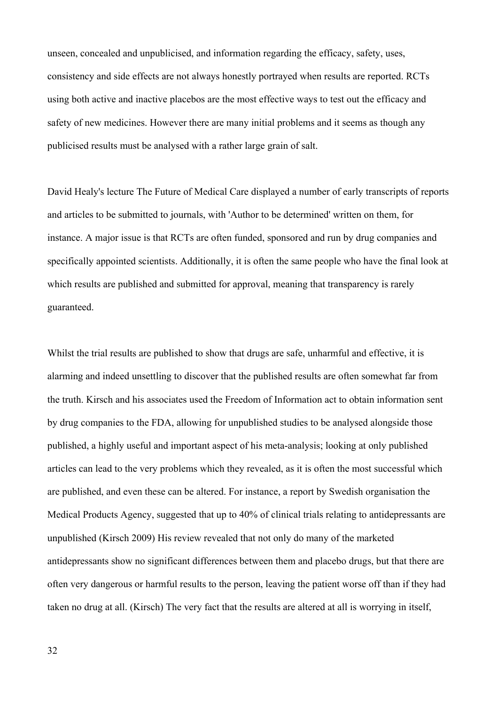unseen, concealed and unpublicised, and information regarding the efficacy, safety, uses, consistency and side effects are not always honestly portrayed when results are reported. RCTs using both active and inactive placebos are the most effective ways to test out the efficacy and safety of new medicines. However there are many initial problems and it seems as though any publicised results must be analysed with a rather large grain of salt.

David Healy's lecture The Future of Medical Care displayed a number of early transcripts of reports and articles to be submitted to journals, with 'Author to be determined' written on them, for instance. A major issue is that RCTs are often funded, sponsored and run by drug companies and specifically appointed scientists. Additionally, it is often the same people who have the final look at which results are published and submitted for approval, meaning that transparency is rarely guaranteed.

Whilst the trial results are published to show that drugs are safe, unharmful and effective, it is alarming and indeed unsettling to discover that the published results are often somewhat far from the truth. Kirsch and his associates used the Freedom of Information act to obtain information sent by drug companies to the FDA, allowing for unpublished studies to be analysed alongside those published, a highly useful and important aspect of his meta-analysis; looking at only published articles can lead to the very problems which they revealed, as it is often the most successful which are published, and even these can be altered. For instance, a report by Swedish organisation the Medical Products Agency, suggested that up to 40% of clinical trials relating to antidepressants are unpublished (Kirsch 2009) His review revealed that not only do many of the marketed antidepressants show no significant differences between them and placebo drugs, but that there are often very dangerous or harmful results to the person, leaving the patient worse off than if they had taken no drug at all. (Kirsch) The very fact that the results are altered at all is worrying in itself,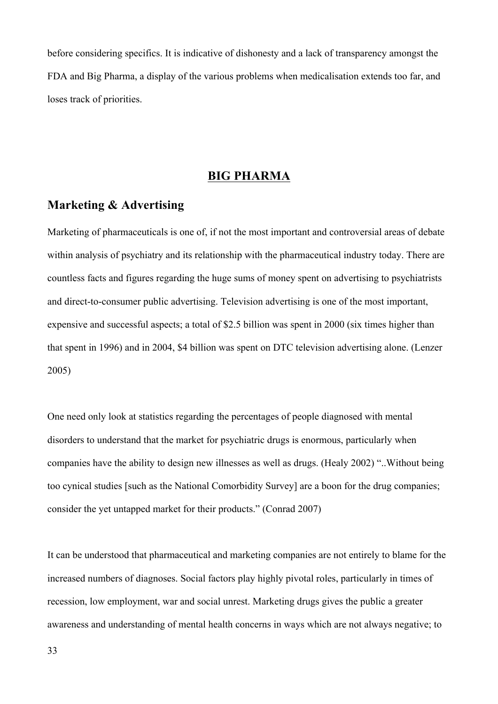before considering specifics. It is indicative of dishonesty and a lack of transparency amongst the FDA and Big Pharma, a display of the various problems when medicalisation extends too far, and loses track of priorities.

# **BIG PHARMA**

# **Marketing & Advertising**

Marketing of pharmaceuticals is one of, if not the most important and controversial areas of debate within analysis of psychiatry and its relationship with the pharmaceutical industry today. There are countless facts and figures regarding the huge sums of money spent on advertising to psychiatrists and direct-to-consumer public advertising. Television advertising is one of the most important, expensive and successful aspects; a total of \$2.5 billion was spent in 2000 (six times higher than that spent in 1996) and in 2004, \$4 billion was spent on DTC television advertising alone. (Lenzer 2005)

One need only look at statistics regarding the percentages of people diagnosed with mental disorders to understand that the market for psychiatric drugs is enormous, particularly when companies have the ability to design new illnesses as well as drugs. (Healy 2002) "..Without being too cynical studies [such as the National Comorbidity Survey] are a boon for the drug companies; consider the yet untapped market for their products." (Conrad 2007)

It can be understood that pharmaceutical and marketing companies are not entirely to blame for the increased numbers of diagnoses. Social factors play highly pivotal roles, particularly in times of recession, low employment, war and social unrest. Marketing drugs gives the public a greater awareness and understanding of mental health concerns in ways which are not always negative; to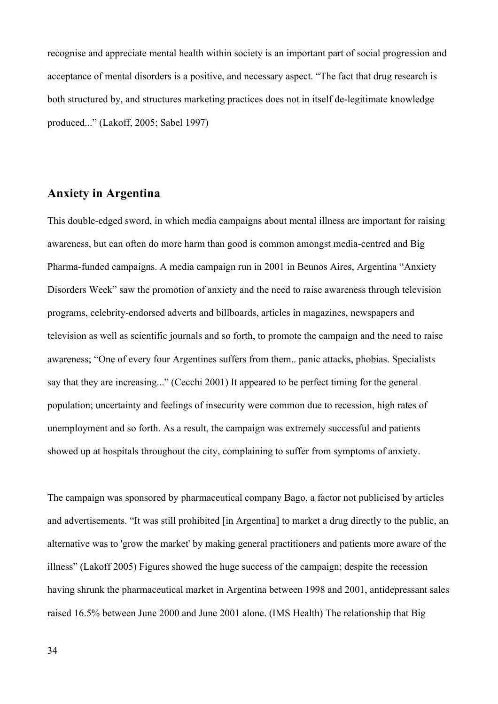recognise and appreciate mental health within society is an important part of social progression and acceptance of mental disorders is a positive, and necessary aspect. "The fact that drug research is both structured by, and structures marketing practices does not in itself de-legitimate knowledge produced..." (Lakoff, 2005; Sabel 1997)

# **Anxiety in Argentina**

This double-edged sword, in which media campaigns about mental illness are important for raising awareness, but can often do more harm than good is common amongst media-centred and Big Pharma-funded campaigns. A media campaign run in 2001 in Beunos Aires, Argentina "Anxiety Disorders Week" saw the promotion of anxiety and the need to raise awareness through television programs, celebrity-endorsed adverts and billboards, articles in magazines, newspapers and television as well as scientific journals and so forth, to promote the campaign and the need to raise awareness; "One of every four Argentines suffers from them.. panic attacks, phobias. Specialists say that they are increasing..." (Cecchi 2001) It appeared to be perfect timing for the general population; uncertainty and feelings of insecurity were common due to recession, high rates of unemployment and so forth. As a result, the campaign was extremely successful and patients showed up at hospitals throughout the city, complaining to suffer from symptoms of anxiety.

The campaign was sponsored by pharmaceutical company Bago, a factor not publicised by articles and advertisements. "It was still prohibited [in Argentina] to market a drug directly to the public, an alternative was to 'grow the market' by making general practitioners and patients more aware of the illness" (Lakoff 2005) Figures showed the huge success of the campaign; despite the recession having shrunk the pharmaceutical market in Argentina between 1998 and 2001, antidepressant sales raised 16.5% between June 2000 and June 2001 alone. (IMS Health) The relationship that Big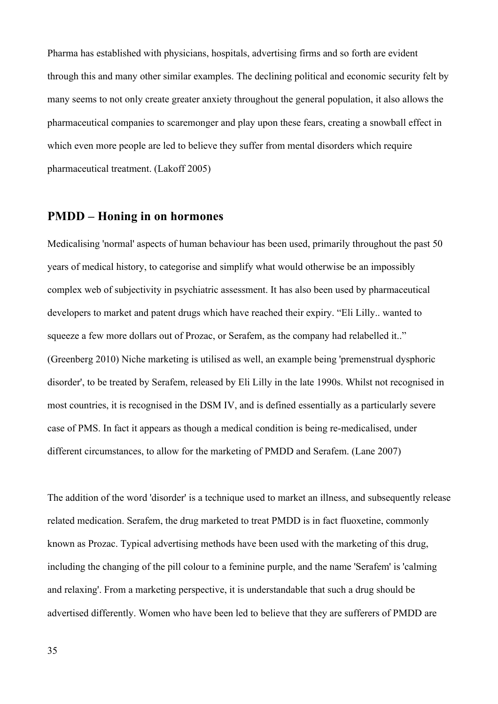Pharma has established with physicians, hospitals, advertising firms and so forth are evident through this and many other similar examples. The declining political and economic security felt by many seems to not only create greater anxiety throughout the general population, it also allows the pharmaceutical companies to scaremonger and play upon these fears, creating a snowball effect in which even more people are led to believe they suffer from mental disorders which require pharmaceutical treatment. (Lakoff 2005)

# **PMDD – Honing in on hormones**

Medicalising 'normal' aspects of human behaviour has been used, primarily throughout the past 50 years of medical history, to categorise and simplify what would otherwise be an impossibly complex web of subjectivity in psychiatric assessment. It has also been used by pharmaceutical developers to market and patent drugs which have reached their expiry. "Eli Lilly.. wanted to squeeze a few more dollars out of Prozac, or Serafem, as the company had relabelled it.." (Greenberg 2010) Niche marketing is utilised as well, an example being 'premenstrual dysphoric disorder', to be treated by Serafem, released by Eli Lilly in the late 1990s. Whilst not recognised in most countries, it is recognised in the DSM IV, and is defined essentially as a particularly severe case of PMS. In fact it appears as though a medical condition is being re-medicalised, under different circumstances, to allow for the marketing of PMDD and Serafem. (Lane 2007)

The addition of the word 'disorder' is a technique used to market an illness, and subsequently release related medication. Serafem, the drug marketed to treat PMDD is in fact fluoxetine, commonly known as Prozac. Typical advertising methods have been used with the marketing of this drug, including the changing of the pill colour to a feminine purple, and the name 'Serafem' is 'calming and relaxing'. From a marketing perspective, it is understandable that such a drug should be advertised differently. Women who have been led to believe that they are sufferers of PMDD are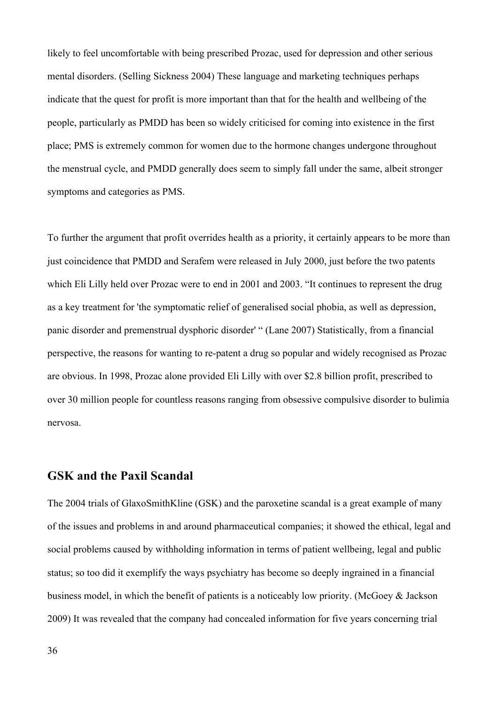likely to feel uncomfortable with being prescribed Prozac, used for depression and other serious mental disorders. (Selling Sickness 2004) These language and marketing techniques perhaps indicate that the quest for profit is more important than that for the health and wellbeing of the people, particularly as PMDD has been so widely criticised for coming into existence in the first place; PMS is extremely common for women due to the hormone changes undergone throughout the menstrual cycle, and PMDD generally does seem to simply fall under the same, albeit stronger symptoms and categories as PMS.

To further the argument that profit overrides health as a priority, it certainly appears to be more than just coincidence that PMDD and Serafem were released in July 2000, just before the two patents which Eli Lilly held over Prozac were to end in 2001 and 2003. "It continues to represent the drug as a key treatment for 'the symptomatic relief of generalised social phobia, as well as depression, panic disorder and premenstrual dysphoric disorder' " (Lane 2007) Statistically, from a financial perspective, the reasons for wanting to re-patent a drug so popular and widely recognised as Prozac are obvious. In 1998, Prozac alone provided Eli Lilly with over \$2.8 billion profit, prescribed to over 30 million people for countless reasons ranging from obsessive compulsive disorder to bulimia nervosa.

### **GSK and the Paxil Scandal**

The 2004 trials of GlaxoSmithKline (GSK) and the paroxetine scandal is a great example of many of the issues and problems in and around pharmaceutical companies; it showed the ethical, legal and social problems caused by withholding information in terms of patient wellbeing, legal and public status; so too did it exemplify the ways psychiatry has become so deeply ingrained in a financial business model, in which the benefit of patients is a noticeably low priority. (McGoey & Jackson 2009) It was revealed that the company had concealed information for five years concerning trial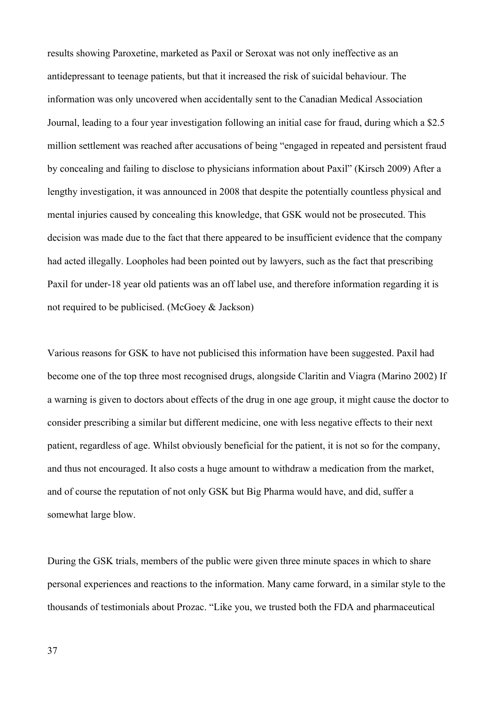results showing Paroxetine, marketed as Paxil or Seroxat was not only ineffective as an antidepressant to teenage patients, but that it increased the risk of suicidal behaviour. The information was only uncovered when accidentally sent to the Canadian Medical Association Journal, leading to a four year investigation following an initial case for fraud, during which a \$2.5 million settlement was reached after accusations of being "engaged in repeated and persistent fraud by concealing and failing to disclose to physicians information about Paxil" (Kirsch 2009) After a lengthy investigation, it was announced in 2008 that despite the potentially countless physical and mental injuries caused by concealing this knowledge, that GSK would not be prosecuted. This decision was made due to the fact that there appeared to be insufficient evidence that the company had acted illegally. Loopholes had been pointed out by lawyers, such as the fact that prescribing Paxil for under-18 year old patients was an off label use, and therefore information regarding it is not required to be publicised. (McGoey & Jackson)

Various reasons for GSK to have not publicised this information have been suggested. Paxil had become one of the top three most recognised drugs, alongside Claritin and Viagra (Marino 2002) If a warning is given to doctors about effects of the drug in one age group, it might cause the doctor to consider prescribing a similar but different medicine, one with less negative effects to their next patient, regardless of age. Whilst obviously beneficial for the patient, it is not so for the company, and thus not encouraged. It also costs a huge amount to withdraw a medication from the market, and of course the reputation of not only GSK but Big Pharma would have, and did, suffer a somewhat large blow.

During the GSK trials, members of the public were given three minute spaces in which to share personal experiences and reactions to the information. Many came forward, in a similar style to the thousands of testimonials about Prozac. "Like you, we trusted both the FDA and pharmaceutical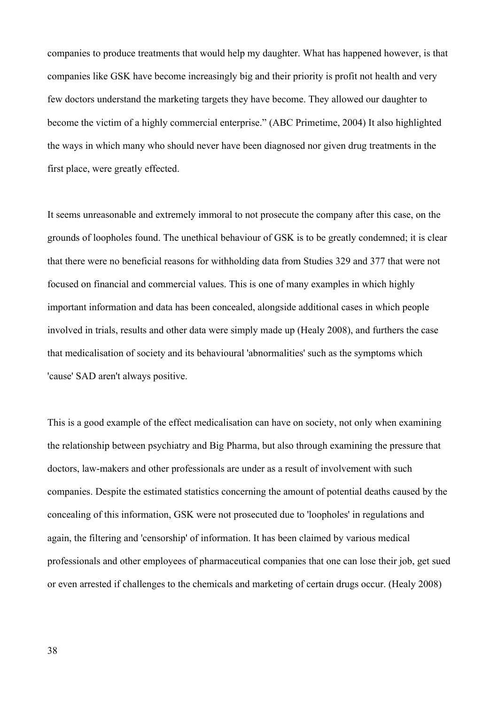companies to produce treatments that would help my daughter. What has happened however, is that companies like GSK have become increasingly big and their priority is profit not health and very few doctors understand the marketing targets they have become. They allowed our daughter to become the victim of a highly commercial enterprise." (ABC Primetime, 2004) It also highlighted the ways in which many who should never have been diagnosed nor given drug treatments in the first place, were greatly effected.

It seems unreasonable and extremely immoral to not prosecute the company after this case, on the grounds of loopholes found. The unethical behaviour of GSK is to be greatly condemned; it is clear that there were no beneficial reasons for withholding data from Studies 329 and 377 that were not focused on financial and commercial values. This is one of many examples in which highly important information and data has been concealed, alongside additional cases in which people involved in trials, results and other data were simply made up (Healy 2008), and furthers the case that medicalisation of society and its behavioural 'abnormalities' such as the symptoms which 'cause' SAD aren't always positive.

This is a good example of the effect medicalisation can have on society, not only when examining the relationship between psychiatry and Big Pharma, but also through examining the pressure that doctors, law-makers and other professionals are under as a result of involvement with such companies. Despite the estimated statistics concerning the amount of potential deaths caused by the concealing of this information, GSK were not prosecuted due to 'loopholes' in regulations and again, the filtering and 'censorship' of information. It has been claimed by various medical professionals and other employees of pharmaceutical companies that one can lose their job, get sued or even arrested if challenges to the chemicals and marketing of certain drugs occur. (Healy 2008)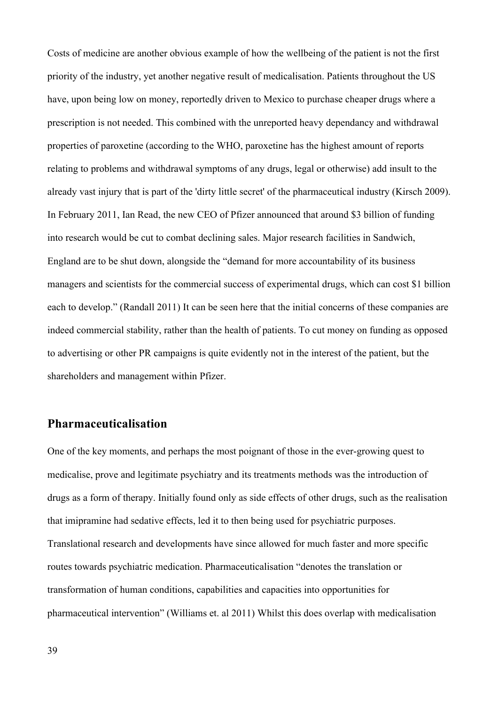Costs of medicine are another obvious example of how the wellbeing of the patient is not the first priority of the industry, yet another negative result of medicalisation. Patients throughout the US have, upon being low on money, reportedly driven to Mexico to purchase cheaper drugs where a prescription is not needed. This combined with the unreported heavy dependancy and withdrawal properties of paroxetine (according to the WHO, paroxetine has the highest amount of reports relating to problems and withdrawal symptoms of any drugs, legal or otherwise) add insult to the already vast injury that is part of the 'dirty little secret' of the pharmaceutical industry (Kirsch 2009). In February 2011, Ian Read, the new CEO of Pfizer announced that around \$3 billion of funding into research would be cut to combat declining sales. Major research facilities in Sandwich, England are to be shut down, alongside the "demand for more accountability of its business managers and scientists for the commercial success of experimental drugs, which can cost \$1 billion each to develop." (Randall 2011) It can be seen here that the initial concerns of these companies are indeed commercial stability, rather than the health of patients. To cut money on funding as opposed to advertising or other PR campaigns is quite evidently not in the interest of the patient, but the shareholders and management within Pfizer.

### **Pharmaceuticalisation**

One of the key moments, and perhaps the most poignant of those in the ever-growing quest to medicalise, prove and legitimate psychiatry and its treatments methods was the introduction of drugs as a form of therapy. Initially found only as side effects of other drugs, such as the realisation that imipramine had sedative effects, led it to then being used for psychiatric purposes. Translational research and developments have since allowed for much faster and more specific routes towards psychiatric medication. Pharmaceuticalisation "denotes the translation or transformation of human conditions, capabilities and capacities into opportunities for pharmaceutical intervention" (Williams et. al 2011) Whilst this does overlap with medicalisation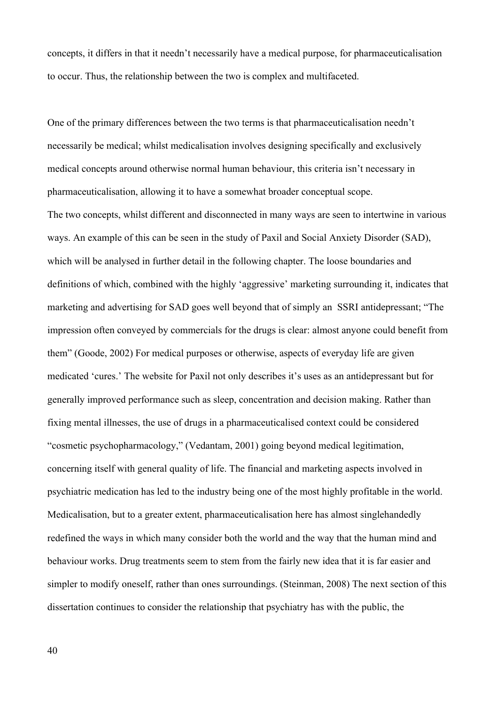concepts, it differs in that it needn't necessarily have a medical purpose, for pharmaceuticalisation to occur. Thus, the relationship between the two is complex and multifaceted.

One of the primary differences between the two terms is that pharmaceuticalisation needn't necessarily be medical; whilst medicalisation involves designing specifically and exclusively medical concepts around otherwise normal human behaviour, this criteria isn't necessary in pharmaceuticalisation, allowing it to have a somewhat broader conceptual scope.

The two concepts, whilst different and disconnected in many ways are seen to intertwine in various ways. An example of this can be seen in the study of Paxil and Social Anxiety Disorder (SAD), which will be analysed in further detail in the following chapter. The loose boundaries and definitions of which, combined with the highly 'aggressive' marketing surrounding it, indicates that marketing and advertising for SAD goes well beyond that of simply an SSRI antidepressant; "The impression often conveyed by commercials for the drugs is clear: almost anyone could benefit from them" (Goode, 2002) For medical purposes or otherwise, aspects of everyday life are given medicated 'cures.' The website for Paxil not only describes it's uses as an antidepressant but for generally improved performance such as sleep, concentration and decision making. Rather than fixing mental illnesses, the use of drugs in a pharmaceuticalised context could be considered "cosmetic psychopharmacology," (Vedantam, 2001) going beyond medical legitimation, concerning itself with general quality of life. The financial and marketing aspects involved in psychiatric medication has led to the industry being one of the most highly profitable in the world. Medicalisation, but to a greater extent, pharmaceuticalisation here has almost singlehandedly redefined the ways in which many consider both the world and the way that the human mind and behaviour works. Drug treatments seem to stem from the fairly new idea that it is far easier and simpler to modify oneself, rather than ones surroundings. (Steinman, 2008) The next section of this dissertation continues to consider the relationship that psychiatry has with the public, the

40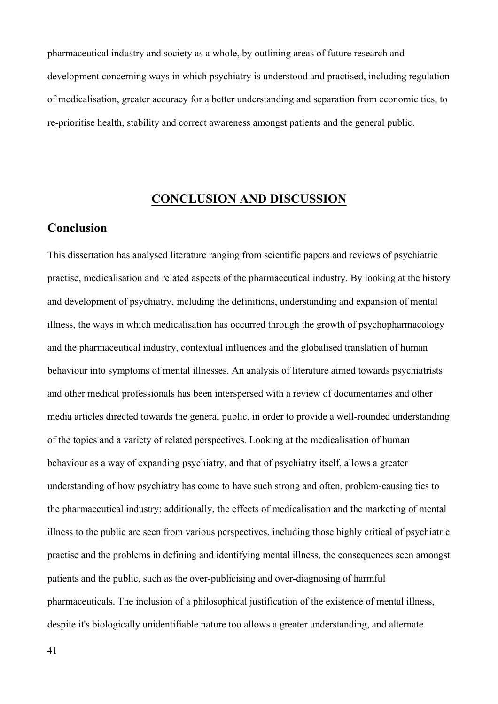pharmaceutical industry and society as a whole, by outlining areas of future research and development concerning ways in which psychiatry is understood and practised, including regulation of medicalisation, greater accuracy for a better understanding and separation from economic ties, to re-prioritise health, stability and correct awareness amongst patients and the general public.

# **CONCLUSION AND DISCUSSION**

# **Conclusion**

This dissertation has analysed literature ranging from scientific papers and reviews of psychiatric practise, medicalisation and related aspects of the pharmaceutical industry. By looking at the history and development of psychiatry, including the definitions, understanding and expansion of mental illness, the ways in which medicalisation has occurred through the growth of psychopharmacology and the pharmaceutical industry, contextual influences and the globalised translation of human behaviour into symptoms of mental illnesses. An analysis of literature aimed towards psychiatrists and other medical professionals has been interspersed with a review of documentaries and other media articles directed towards the general public, in order to provide a well-rounded understanding of the topics and a variety of related perspectives. Looking at the medicalisation of human behaviour as a way of expanding psychiatry, and that of psychiatry itself, allows a greater understanding of how psychiatry has come to have such strong and often, problem-causing ties to the pharmaceutical industry; additionally, the effects of medicalisation and the marketing of mental illness to the public are seen from various perspectives, including those highly critical of psychiatric practise and the problems in defining and identifying mental illness, the consequences seen amongst patients and the public, such as the over-publicising and over-diagnosing of harmful pharmaceuticals. The inclusion of a philosophical justification of the existence of mental illness, despite it's biologically unidentifiable nature too allows a greater understanding, and alternate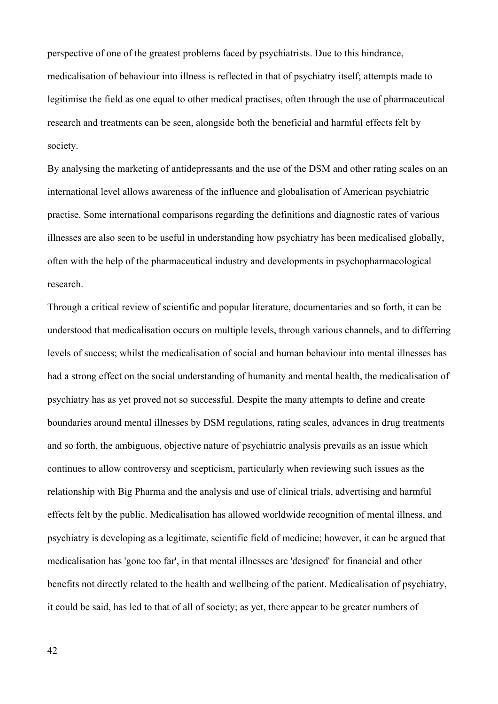perspective of one of the greatest problems faced by psychiatrists. Due to this hindrance, medicalisation of behaviour into illness is reflected in that of psychiatry itself; attempts made to legitimise the field as one equal to other medical practises, often through the use of pharmaceutical research and treatments can be seen, alongside both the beneficial and harmful effects felt by society.

By analysing the marketing of antidepressants and the use of the DSM and other rating scales on an international level allows awareness of the influence and globalisation of American psychiatric practise. Some international comparisons regarding the definitions and diagnostic rates of various illnesses are also seen to be useful in understanding how psychiatry has been medicalised globally, often with the help of the pharmaceutical industry and developments in psychopharmacological research.

Through a critical review of scientific and popular literature, documentaries and so forth, it can be understood that medicalisation occurs on multiple levels, through various channels, and to differring levels of success; whilst the medicalisation of social and human behaviour into mental illnesses has had a strong effect on the social understanding of humanity and mental health, the medicalisation of psychiatry has as yet proved not so successful. Despite the many attempts to define and create boundaries around mental illnesses by DSM regulations, rating scales, advances in drug treatments and so forth, the ambiguous, objective nature of psychiatric analysis prevails as an issue which continues to allow controversy and scepticism, particularly when reviewing such issues as the relationship with Big Pharma and the analysis and use of clinical trials, advertising and harmful effects felt by the public. Medicalisation has allowed worldwide recognition of mental illness, and psychiatry is developing as a legitimate, scientific field of medicine; however, it can be argued that medicalisation has 'gone too far', in that mental illnesses are 'designed' for financial and other benefits not directly related to the health and wellbeing of the patient. Medicalisation of psychiatry, it could be said, has led to that of all of society; as yet, there appear to be greater numbers of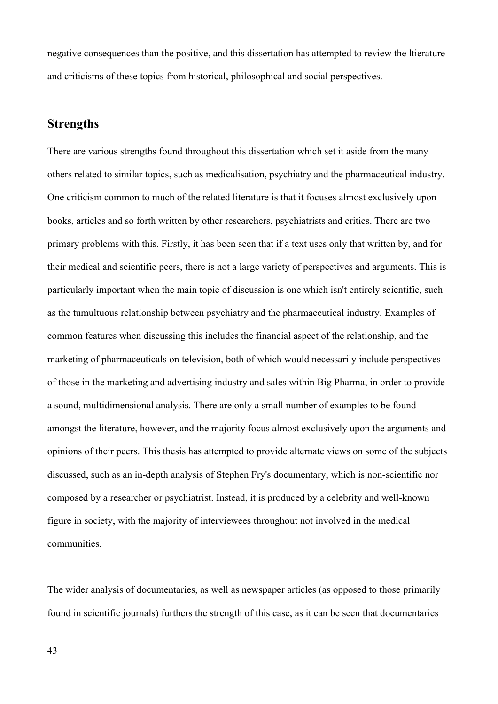negative consequences than the positive, and this dissertation has attempted to review the ltierature and criticisms of these topics from historical, philosophical and social perspectives.

# **Strengths**

There are various strengths found throughout this dissertation which set it aside from the many others related to similar topics, such as medicalisation, psychiatry and the pharmaceutical industry. One criticism common to much of the related literature is that it focuses almost exclusively upon books, articles and so forth written by other researchers, psychiatrists and critics. There are two primary problems with this. Firstly, it has been seen that if a text uses only that written by, and for their medical and scientific peers, there is not a large variety of perspectives and arguments. This is particularly important when the main topic of discussion is one which isn't entirely scientific, such as the tumultuous relationship between psychiatry and the pharmaceutical industry. Examples of common features when discussing this includes the financial aspect of the relationship, and the marketing of pharmaceuticals on television, both of which would necessarily include perspectives of those in the marketing and advertising industry and sales within Big Pharma, in order to provide a sound, multidimensional analysis. There are only a small number of examples to be found amongst the literature, however, and the majority focus almost exclusively upon the arguments and opinions of their peers. This thesis has attempted to provide alternate views on some of the subjects discussed, such as an in-depth analysis of Stephen Fry's documentary, which is non-scientific nor composed by a researcher or psychiatrist. Instead, it is produced by a celebrity and well-known figure in society, with the majority of interviewees throughout not involved in the medical communities.

The wider analysis of documentaries, as well as newspaper articles (as opposed to those primarily found in scientific journals) furthers the strength of this case, as it can be seen that documentaries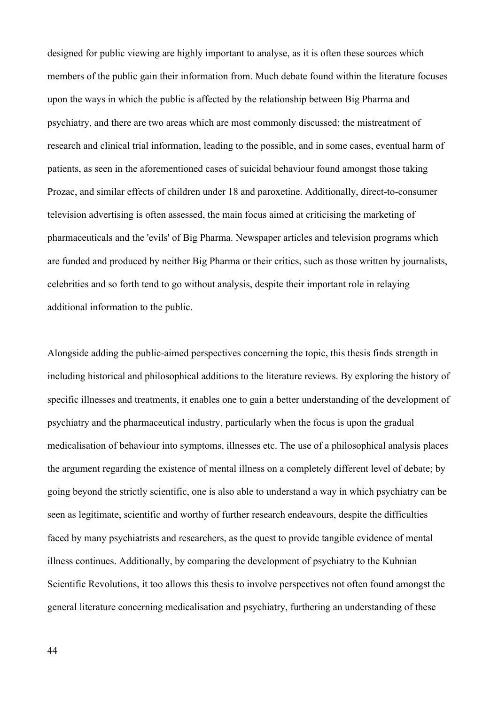designed for public viewing are highly important to analyse, as it is often these sources which members of the public gain their information from. Much debate found within the literature focuses upon the ways in which the public is affected by the relationship between Big Pharma and psychiatry, and there are two areas which are most commonly discussed; the mistreatment of research and clinical trial information, leading to the possible, and in some cases, eventual harm of patients, as seen in the aforementioned cases of suicidal behaviour found amongst those taking Prozac, and similar effects of children under 18 and paroxetine. Additionally, direct-to-consumer television advertising is often assessed, the main focus aimed at criticising the marketing of pharmaceuticals and the 'evils' of Big Pharma. Newspaper articles and television programs which are funded and produced by neither Big Pharma or their critics, such as those written by journalists, celebrities and so forth tend to go without analysis, despite their important role in relaying additional information to the public.

Alongside adding the public-aimed perspectives concerning the topic, this thesis finds strength in including historical and philosophical additions to the literature reviews. By exploring the history of specific illnesses and treatments, it enables one to gain a better understanding of the development of psychiatry and the pharmaceutical industry, particularly when the focus is upon the gradual medicalisation of behaviour into symptoms, illnesses etc. The use of a philosophical analysis places the argument regarding the existence of mental illness on a completely different level of debate; by going beyond the strictly scientific, one is also able to understand a way in which psychiatry can be seen as legitimate, scientific and worthy of further research endeavours, despite the difficulties faced by many psychiatrists and researchers, as the quest to provide tangible evidence of mental illness continues. Additionally, by comparing the development of psychiatry to the Kuhnian Scientific Revolutions, it too allows this thesis to involve perspectives not often found amongst the general literature concerning medicalisation and psychiatry, furthering an understanding of these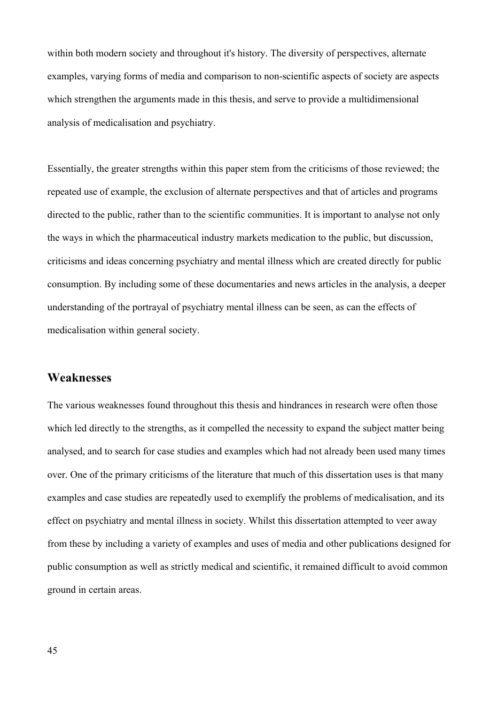within both modern society and throughout it's history. The diversity of perspectives, alternate examples, varying forms of media and comparison to non-scientific aspects of society are aspects which strengthen the arguments made in this thesis, and serve to provide a multidimensional analysis of medicalisation and psychiatry.

Essentially, the greater strengths within this paper stem from the criticisms of those reviewed; the repeated use of example, the exclusion of alternate perspectives and that of articles and programs directed to the public, rather than to the scientific communities. It is important to analyse not only the ways in which the pharmaceutical industry markets medication to the public, but discussion, criticisms and ideas concerning psychiatry and mental illness which are created directly for public consumption. By including some of these documentaries and news articles in the analysis, a deeper understanding of the portrayal of psychiatry mental illness can be seen, as can the effects of medicalisation within general society.

# **Weaknesses**

The various weaknesses found throughout this thesis and hindrances in research were often those which led directly to the strengths, as it compelled the necessity to expand the subject matter being analysed, and to search for case studies and examples which had not already been used many times over. One of the primary criticisms of the literature that much of this dissertation uses is that many examples and case studies are repeatedly used to exemplify the problems of medicalisation, and its effect on psychiatry and mental illness in society. Whilst this dissertation attempted to veer away from these by including a variety of examples and uses of media and other publications designed for public consumption as well as strictly medical and scientific, it remained difficult to avoid common ground in certain areas.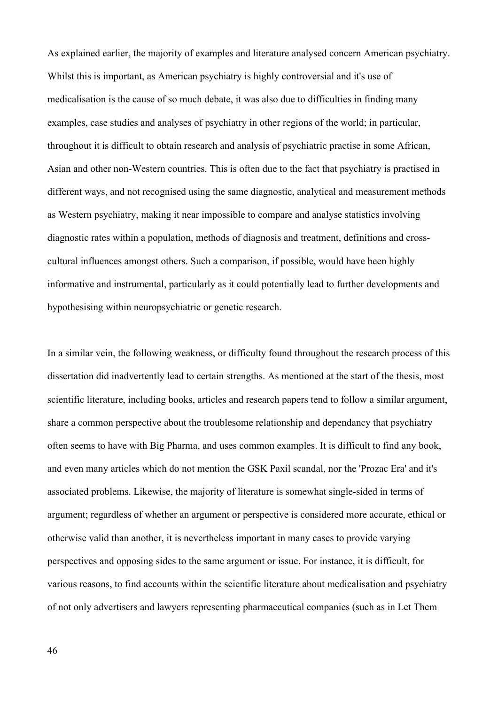As explained earlier, the majority of examples and literature analysed concern American psychiatry. Whilst this is important, as American psychiatry is highly controversial and it's use of medicalisation is the cause of so much debate, it was also due to difficulties in finding many examples, case studies and analyses of psychiatry in other regions of the world; in particular, throughout it is difficult to obtain research and analysis of psychiatric practise in some African, Asian and other non-Western countries. This is often due to the fact that psychiatry is practised in different ways, and not recognised using the same diagnostic, analytical and measurement methods as Western psychiatry, making it near impossible to compare and analyse statistics involving diagnostic rates within a population, methods of diagnosis and treatment, definitions and crosscultural influences amongst others. Such a comparison, if possible, would have been highly informative and instrumental, particularly as it could potentially lead to further developments and hypothesising within neuropsychiatric or genetic research.

In a similar vein, the following weakness, or difficulty found throughout the research process of this dissertation did inadvertently lead to certain strengths. As mentioned at the start of the thesis, most scientific literature, including books, articles and research papers tend to follow a similar argument, share a common perspective about the troublesome relationship and dependancy that psychiatry often seems to have with Big Pharma, and uses common examples. It is difficult to find any book, and even many articles which do not mention the GSK Paxil scandal, nor the 'Prozac Era' and it's associated problems. Likewise, the majority of literature is somewhat single-sided in terms of argument; regardless of whether an argument or perspective is considered more accurate, ethical or otherwise valid than another, it is nevertheless important in many cases to provide varying perspectives and opposing sides to the same argument or issue. For instance, it is difficult, for various reasons, to find accounts within the scientific literature about medicalisation and psychiatry of not only advertisers and lawyers representing pharmaceutical companies (such as in Let Them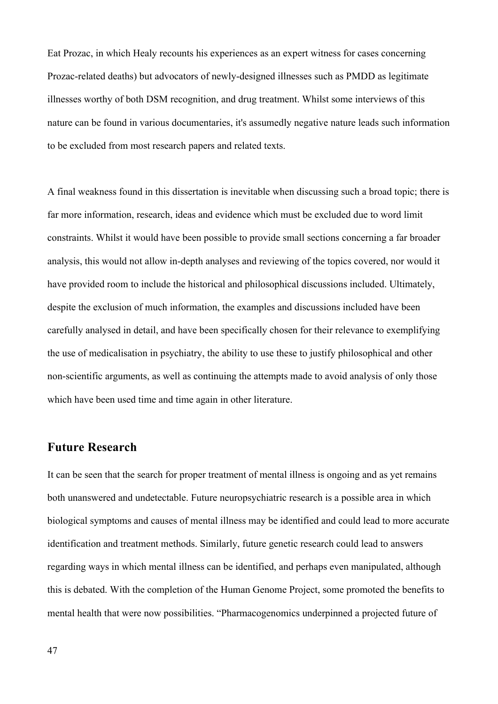Eat Prozac, in which Healy recounts his experiences as an expert witness for cases concerning Prozac-related deaths) but advocators of newly-designed illnesses such as PMDD as legitimate illnesses worthy of both DSM recognition, and drug treatment. Whilst some interviews of this nature can be found in various documentaries, it's assumedly negative nature leads such information to be excluded from most research papers and related texts.

A final weakness found in this dissertation is inevitable when discussing such a broad topic; there is far more information, research, ideas and evidence which must be excluded due to word limit constraints. Whilst it would have been possible to provide small sections concerning a far broader analysis, this would not allow in-depth analyses and reviewing of the topics covered, nor would it have provided room to include the historical and philosophical discussions included. Ultimately, despite the exclusion of much information, the examples and discussions included have been carefully analysed in detail, and have been specifically chosen for their relevance to exemplifying the use of medicalisation in psychiatry, the ability to use these to justify philosophical and other non-scientific arguments, as well as continuing the attempts made to avoid analysis of only those which have been used time and time again in other literature.

### **Future Research**

It can be seen that the search for proper treatment of mental illness is ongoing and as yet remains both unanswered and undetectable. Future neuropsychiatric research is a possible area in which biological symptoms and causes of mental illness may be identified and could lead to more accurate identification and treatment methods. Similarly, future genetic research could lead to answers regarding ways in which mental illness can be identified, and perhaps even manipulated, although this is debated. With the completion of the Human Genome Project, some promoted the benefits to mental health that were now possibilities. "Pharmacogenomics underpinned a projected future of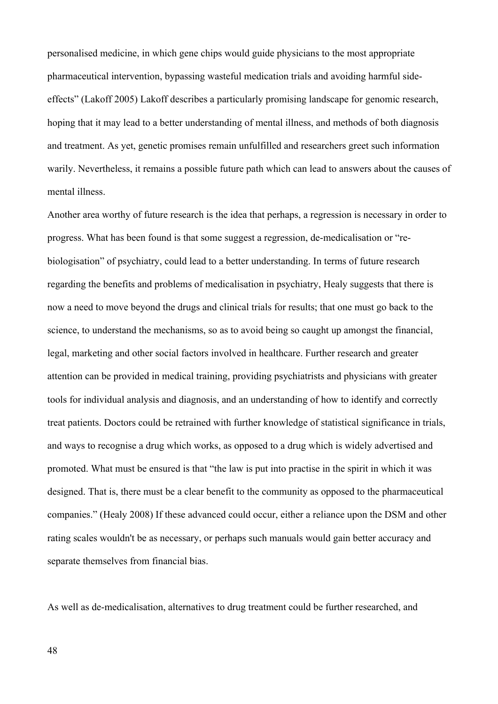personalised medicine, in which gene chips would guide physicians to the most appropriate pharmaceutical intervention, bypassing wasteful medication trials and avoiding harmful sideeffects" (Lakoff 2005) Lakoff describes a particularly promising landscape for genomic research, hoping that it may lead to a better understanding of mental illness, and methods of both diagnosis and treatment. As yet, genetic promises remain unfulfilled and researchers greet such information warily. Nevertheless, it remains a possible future path which can lead to answers about the causes of mental illness.

Another area worthy of future research is the idea that perhaps, a regression is necessary in order to progress. What has been found is that some suggest a regression, de-medicalisation or "rebiologisation" of psychiatry, could lead to a better understanding. In terms of future research regarding the benefits and problems of medicalisation in psychiatry, Healy suggests that there is now a need to move beyond the drugs and clinical trials for results; that one must go back to the science, to understand the mechanisms, so as to avoid being so caught up amongst the financial, legal, marketing and other social factors involved in healthcare. Further research and greater attention can be provided in medical training, providing psychiatrists and physicians with greater tools for individual analysis and diagnosis, and an understanding of how to identify and correctly treat patients. Doctors could be retrained with further knowledge of statistical significance in trials, and ways to recognise a drug which works, as opposed to a drug which is widely advertised and promoted. What must be ensured is that "the law is put into practise in the spirit in which it was designed. That is, there must be a clear benefit to the community as opposed to the pharmaceutical companies." (Healy 2008) If these advanced could occur, either a reliance upon the DSM and other rating scales wouldn't be as necessary, or perhaps such manuals would gain better accuracy and separate themselves from financial bias.

As well as de-medicalisation, alternatives to drug treatment could be further researched, and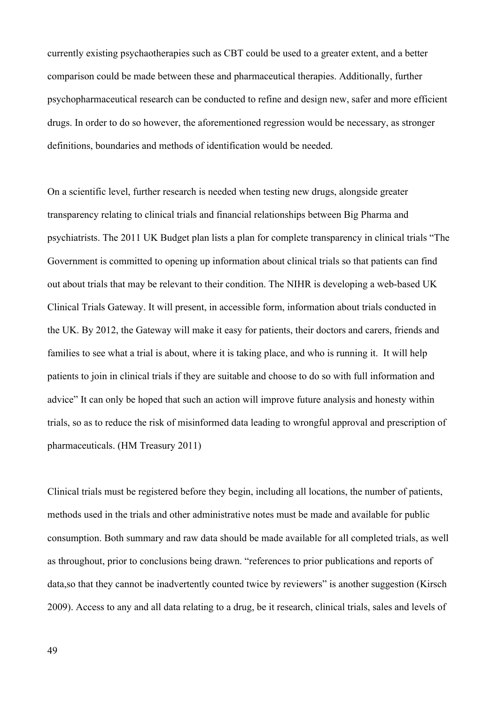currently existing psychaotherapies such as CBT could be used to a greater extent, and a better comparison could be made between these and pharmaceutical therapies. Additionally, further psychopharmaceutical research can be conducted to refine and design new, safer and more efficient drugs. In order to do so however, the aforementioned regression would be necessary, as stronger definitions, boundaries and methods of identification would be needed.

On a scientific level, further research is needed when testing new drugs, alongside greater transparency relating to clinical trials and financial relationships between Big Pharma and psychiatrists. The 2011 UK Budget plan lists a plan for complete transparency in clinical trials "The Government is committed to opening up information about clinical trials so that patients can find out about trials that may be relevant to their condition. The NIHR is developing a web-based UK Clinical Trials Gateway. It will present, in accessible form, information about trials conducted in the UK. By 2012, the Gateway will make it easy for patients, their doctors and carers, friends and families to see what a trial is about, where it is taking place, and who is running it. It will help patients to join in clinical trials if they are suitable and choose to do so with full information and advice" It can only be hoped that such an action will improve future analysis and honesty within trials, so as to reduce the risk of misinformed data leading to wrongful approval and prescription of pharmaceuticals. (HM Treasury 2011)

Clinical trials must be registered before they begin, including all locations, the number of patients, methods used in the trials and other administrative notes must be made and available for public consumption. Both summary and raw data should be made available for all completed trials, as well as throughout, prior to conclusions being drawn. "references to prior publications and reports of data,so that they cannot be inadvertently counted twice by reviewers" is another suggestion (Kirsch 2009). Access to any and all data relating to a drug, be it research, clinical trials, sales and levels of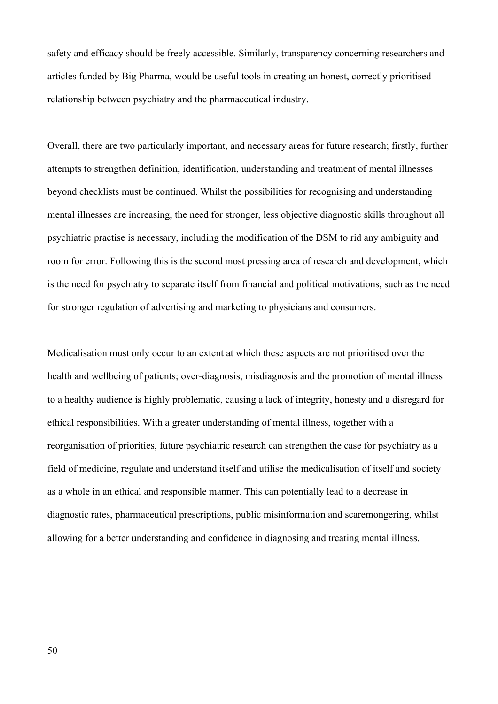safety and efficacy should be freely accessible. Similarly, transparency concerning researchers and articles funded by Big Pharma, would be useful tools in creating an honest, correctly prioritised relationship between psychiatry and the pharmaceutical industry.

Overall, there are two particularly important, and necessary areas for future research; firstly, further attempts to strengthen definition, identification, understanding and treatment of mental illnesses beyond checklists must be continued. Whilst the possibilities for recognising and understanding mental illnesses are increasing, the need for stronger, less objective diagnostic skills throughout all psychiatric practise is necessary, including the modification of the DSM to rid any ambiguity and room for error. Following this is the second most pressing area of research and development, which is the need for psychiatry to separate itself from financial and political motivations, such as the need for stronger regulation of advertising and marketing to physicians and consumers.

Medicalisation must only occur to an extent at which these aspects are not prioritised over the health and wellbeing of patients; over-diagnosis, misdiagnosis and the promotion of mental illness to a healthy audience is highly problematic, causing a lack of integrity, honesty and a disregard for ethical responsibilities. With a greater understanding of mental illness, together with a reorganisation of priorities, future psychiatric research can strengthen the case for psychiatry as a field of medicine, regulate and understand itself and utilise the medicalisation of itself and society as a whole in an ethical and responsible manner. This can potentially lead to a decrease in diagnostic rates, pharmaceutical prescriptions, public misinformation and scaremongering, whilst allowing for a better understanding and confidence in diagnosing and treating mental illness.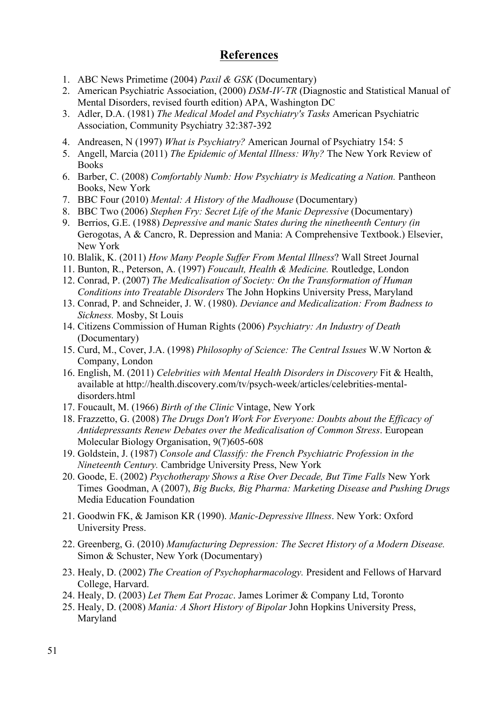# **References**

- 1. ABC News Primetime (2004) *Paxil & GSK* (Documentary)
- 2. American Psychiatric Association, (2000) *DSM-IV-TR* (Diagnostic and Statistical Manual of Mental Disorders, revised fourth edition) APA, Washington DC
- 3. Adler, D.A. (1981) *The Medical Model and Psychiatry's Tasks* American Psychiatric Association, Community Psychiatry 32:387-392
- 4. Andreasen, N (1997) *What is Psychiatry?* American Journal of Psychiatry 154: 5
- 5. Angell, Marcia (2011) *The Epidemic of Mental Illness: Why?* The New York Review of Books
- 6. Barber, C. (2008) *Comfortably Numb: How Psychiatry is Medicating a Nation.* Pantheon Books, New York
- 7. BBC Four (2010) *Mental: A History of the Madhouse* (Documentary)
- 8. BBC Two (2006) *Stephen Fry: Secret Life of the Manic Depressive* (Documentary)
- 9. Berrios, G.E. (1988) *Depressive and manic States during the ninetheenth Century (in* Gerogotas, A & Cancro, R. Depression and Mania: A Comprehensive Textbook.) Elsevier, New York
- 10. Blalik, K. (2011) *How Many People Suffer From Mental Illness*? Wall Street Journal
- 11. Bunton, R., Peterson, A. (1997) *Foucault, Health & Medicine.* Routledge, London
- 12. Conrad, P. (2007) *The Medicalisation of Society: On the Transformation of Human Conditions into Treatable Disorders* The John Hopkins University Press, Maryland
- 13. Conrad, P. and Schneider, J. W. (1980). *Deviance and Medicalization: From Badness to Sickness.* Mosby, St Louis
- 14. Citizens Commission of Human Rights (2006) *Psychiatry: An Industry of Death*  (Documentary)
- 15. Curd, M., Cover, J.A. (1998) *Philosophy of Science: The Central Issues* W.W Norton & Company, London
- 16. English, M. (2011) *Celebrities with Mental Health Disorders in Discovery* Fit & Health, available at http://health.discovery.com/tv/psych-week/articles/celebrities-mentaldisorders.html
- 17. Foucault, M. (1966) *Birth of the Clinic* Vintage, New York
- 18. Frazzetto, G. (2008) *The Drugs Don't Work For Everyone: Doubts about the Efficacy of Antidepressants Renew Debates over the Medicalisation of Common Stress*. European Molecular Biology Organisation, 9(7)605-608
- 19. Goldstein, J. (1987) *Console and Classify: the French Psychiatric Profession in the Nineteenth Century.* Cambridge University Press, New York
- 20. Goode, E. (2002) *Psychotherapy Shows a Rise Over Decade, But Time Falls* New York Times Goodman, A (2007), *Big Bucks, Big Pharma: Marketing Disease and Pushing Drugs*  Media Education Foundation
- 21. Goodwin FK, & Jamison KR (1990). *Manic-Depressive Illness*. New York: Oxford University Press.
- 22. Greenberg, G. (2010) *Manufacturing Depression: The Secret History of a Modern Disease.* Simon & Schuster, New York (Documentary)
- 23. Healy, D. (2002) *The Creation of Psychopharmacology.* President and Fellows of Harvard College, Harvard.
- 24. Healy, D. (2003) *Let Them Eat Prozac*. James Lorimer & Company Ltd, Toronto
- 25. Healy, D. (2008) *Mania: A Short History of Bipolar* John Hopkins University Press, Maryland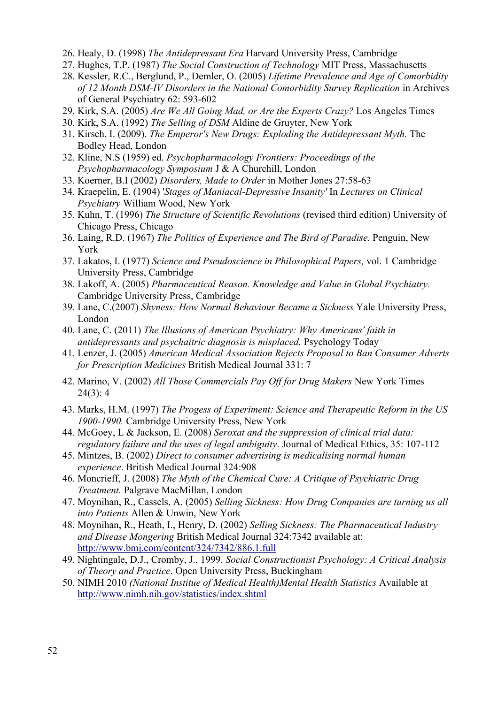- 26. Healy, D. (1998) *The Antidepressant Era* Harvard University Press, Cambridge
- 27. Hughes, T.P. (1987) *The Social Construction of Technology* MIT Press, Massachusetts
- 28. Kessler, R.C., Berglund, P., Demler, O. (2005) *Lifetime Prevalence and Age of Comorbidity*  of 12 Month DSM-IV Disorders in the National Comorbidity Survey Replication in Archives of General Psychiatry 62: 593-602
- 29. Kirk, S.A. (2005) *Are We All Going Mad, or Are the Experts Crazy?* Los Angeles Times
- 30. Kirk, S.A. (1992) *The Selling of DSM* Aldine de Gruyter, New York
- 31. Kirsch, I. (2009). *The Emperor's New Drugs: Exploding the Antidepressant Myth.* The Bodley Head, London
- 32. Kline, N.S (1959) ed. *Psychopharmacology Frontiers: Proceedings of the Psychopharmacology Symposium* J & A Churchill, London
- 33. Koerner, B.I (2002) *Disorders, Made to Order* in Mother Jones 27:58-63
- 34. Kraepelin, E. (1904) '*Stages of Maniacal-Depressive Insanity'* In *Lectures on Clinical Psychiatry* William Wood, New York
- 35. Kuhn, T. (1996) *The Structure of Scientific Revolutions* (revised third edition) University of Chicago Press, Chicago
- 36. Laing, R.D. (1967) *The Politics of Experience and The Bird of Paradise.* Penguin, New York
- 37. Lakatos, I. (1977) *Science and Pseudoscience in Philosophical Papers,* vol. 1 Cambridge University Press, Cambridge
- 38. Lakoff, A. (2005) *Pharmaceutical Reason. Knowledge and Value in Global Psychiatry.*  Cambridge University Press, Cambridge
- 39. Lane, C.(2007) *Shyness; How Normal Behaviour Became a Sickness* Yale University Press, London
- 40. Lane, C. (2011) *The Illusions of American Psychiatry: Why Americans' faith in antidepressants and psychaitric diagnosis is misplaced.* Psychology Today
- 41. Lenzer, J. (2005) *American Medical Association Rejects Proposal to Ban Consumer Adverts for Prescription Medicines* British Medical Journal 331: 7
- 42. Marino, V. (2002) *All Those Commercials Pay Off for Drug Makers* New York Times 24(3): 4
- 43. Marks, H.M. (1997) *The Progess of Experiment: Science and Therapeutic Reform in the US 1900-1990.* Cambridge University Press, New York
- 44. McGoey, L & Jackson, E. (2008) *Seroxat and the suppression of clinical trial data: regulatory failure and the uses of legal ambiguity*. Journal of Medical Ethics, 35: 107-112
- 45. Mintzes, B. (2002) *Direct to consumer advertising is medicalising normal human experience*. British Medical Journal 324:908
- 46. Moncrieff, J. (2008) *The Myth of the Chemical Cure: A Critique of Psychiatric Drug Treatment.* Palgrave MacMillan, London
- 47. Moynihan, R., Cassels, A. (2005) *Selling Sickness: How Drug Companies are turning us all into Patients* Allen & Unwin, New York
- 48. Moynihan, R., Heath, I., Henry, D. (2002) *Selling Sickness: The Pharmaceutical Industry and Disease Mongering* British Medical Journal 324:7342 available at: http://www.bmj.com/content/324/7342/886.1.full
- 49. Nightingale, D.J., Cromby, J., 1999. *Social Constructionist Psychology: A Critical Analysis of Theory and Practice*. Open University Press, Buckingham
- 50. NIMH 2010 *(National Institue of Medical Health)Mental Health Statistics* Available at http://www.nimh.nih.gov/statistics/index.shtml